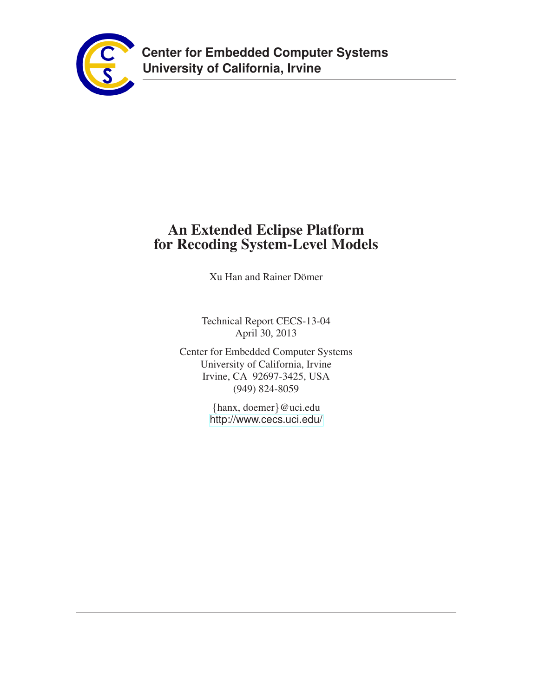

# **An Extended Eclipse Platform for Recoding System-Level Models**

Xu Han and Rainer Dömer

Technical Report CECS-13-04 April 30, 2013

Center for Embedded Computer Systems University of California, Irvine Irvine, CA 92697-3425, USA (949) 824-8059

> {hanx, doemer}@uci.edu <http://www.cecs.uci.edu/>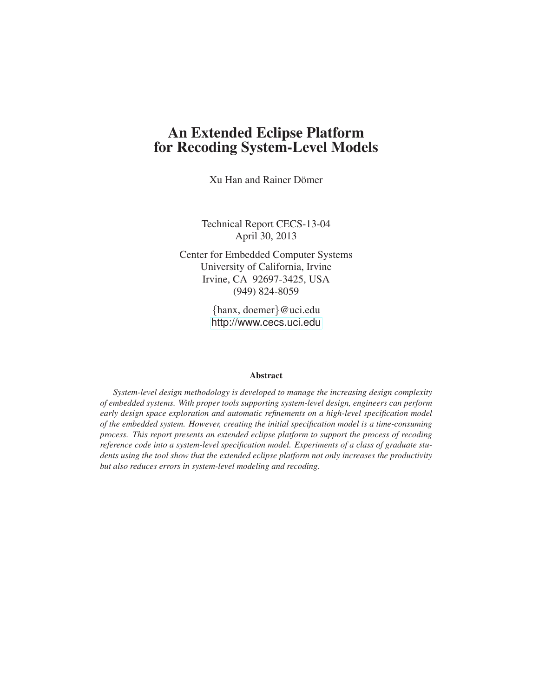# **An Extended Eclipse Platform for Recoding System-Level Models**

Xu Han and Rainer Domer ¨

Technical Report CECS-13-04 April 30, 2013

Center for Embedded Computer Systems University of California, Irvine Irvine, CA 92697-3425, USA (949) 824-8059

> {hanx, doemer}@uci.edu <http://www.cecs.uci.edu>

#### **Abstract**

*System-level design methodology is developed to manage the increasing design complexity of embedded systems. With proper tools supporting system-level design, engineers can perform early design space exploration and automatic refinements on a high-level specification model of the embedded system. However, creating the initial specification model is a time-consuming process. This report presents an extended eclipse platform to support the process of recoding reference code into a system-level specification model. Experiments of a class of graduate students using the tool show that the extended eclipse platform not only increases the productivity but also reduces errors in system-level modeling and recoding.*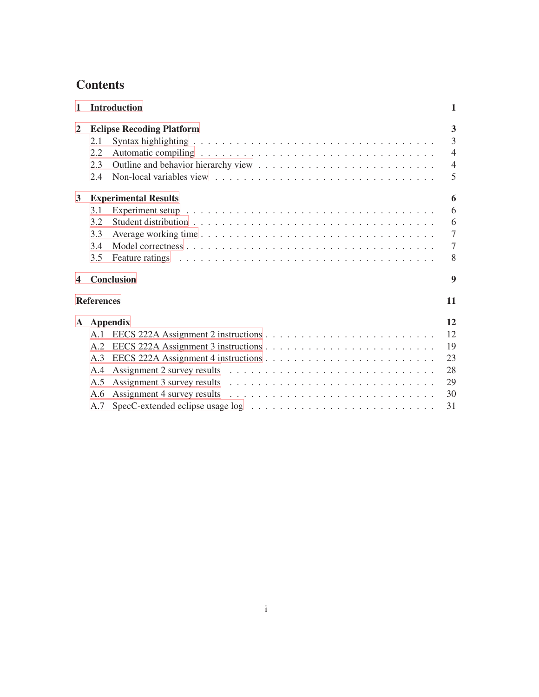# **Contents**

| $\mathbf{1}$   |                   | <b>Introduction</b>                                                                                                                                                                                                           | 1                       |
|----------------|-------------------|-------------------------------------------------------------------------------------------------------------------------------------------------------------------------------------------------------------------------------|-------------------------|
| $\overline{2}$ |                   | <b>Eclipse Recoding Platform</b>                                                                                                                                                                                              | $\overline{\mathbf{3}}$ |
|                | 2.1               |                                                                                                                                                                                                                               | $\overline{3}$          |
|                | 2.2               |                                                                                                                                                                                                                               | $\overline{4}$          |
|                | 2.3               |                                                                                                                                                                                                                               | $\overline{4}$          |
|                | 2.4               |                                                                                                                                                                                                                               | 5                       |
| 3              |                   | <b>Experimental Results</b>                                                                                                                                                                                                   | 6                       |
|                | 3.1               |                                                                                                                                                                                                                               | 6                       |
|                | 3.2               |                                                                                                                                                                                                                               | 6                       |
|                | 3.3               |                                                                                                                                                                                                                               | $\overline{7}$          |
|                | 3.4               |                                                                                                                                                                                                                               | $\overline{7}$          |
|                | 3.5               | Feature ratings enterprise in the contract of the contract of the contract of the contract of the contract of the contract of the contract of the contract of the contract of the contract of the contract of the contract of | 8                       |
| 4              |                   | <b>Conclusion</b>                                                                                                                                                                                                             | 9                       |
|                | <b>References</b> |                                                                                                                                                                                                                               | 11                      |
| ${\bf A}$      |                   | Appendix                                                                                                                                                                                                                      | 12                      |
|                | A.1               |                                                                                                                                                                                                                               | 12                      |
|                | A.2               |                                                                                                                                                                                                                               | 19                      |
|                | A.3               |                                                                                                                                                                                                                               | 23                      |
|                | A.4               |                                                                                                                                                                                                                               | 28                      |
|                | A.5               |                                                                                                                                                                                                                               | 29                      |
|                | A.6               | Assignment 4 survey results $\dots \dots \dots \dots \dots \dots \dots \dots \dots \dots \dots \dots$                                                                                                                         | 30                      |
|                | A.7               |                                                                                                                                                                                                                               | 31                      |
|                |                   |                                                                                                                                                                                                                               |                         |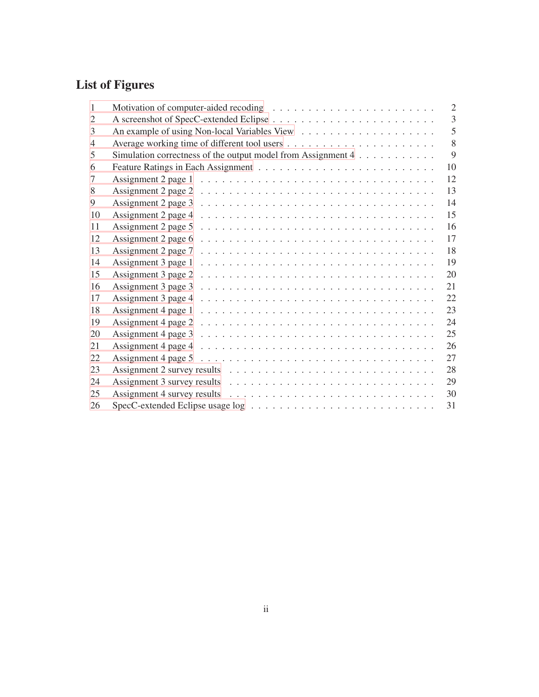# **List of Figures**

| $\mathbf{1}$   |                                                                                                           | $\overline{2}$ |
|----------------|-----------------------------------------------------------------------------------------------------------|----------------|
| 2              |                                                                                                           | 3              |
| 3              |                                                                                                           | 5              |
| $\overline{4}$ |                                                                                                           | 8              |
| 5              | Simulation correctness of the output model from Assignment 4                                              | 9              |
| 6              |                                                                                                           | 10             |
| 7              |                                                                                                           | 12             |
| 8              | Assignment 2 page 2 $\ldots \ldots \ldots \ldots \ldots \ldots \ldots \ldots \ldots \ldots \ldots \ldots$ | 13             |
| 9              | Assignment 2 page 3 $\ldots \ldots \ldots \ldots \ldots \ldots \ldots \ldots \ldots \ldots \ldots \ldots$ | 14             |
| 10             |                                                                                                           | 15             |
| 11             |                                                                                                           | 16             |
| 12             | Assignment 2 page 6 $\ldots \ldots \ldots \ldots \ldots \ldots \ldots \ldots \ldots \ldots \ldots \ldots$ | 17             |
| 13             | Assignment 2 page $7 \ldots \ldots \ldots \ldots \ldots \ldots \ldots \ldots \ldots \ldots \ldots \ldots$ | 18             |
| 14             | Assignment 3 page $1 \ldots \ldots \ldots \ldots \ldots \ldots \ldots \ldots \ldots \ldots \ldots$        | 19             |
| 15             | Assignment 3 page 2 $\ldots \ldots \ldots \ldots \ldots \ldots \ldots \ldots \ldots \ldots \ldots \ldots$ | 20             |
| 16             | Assignment 3 page 3 $\dots \dots \dots \dots \dots \dots \dots \dots \dots \dots \dots \dots \dots$       | 21             |
| 17             | Assignment 3 page 4 $\dots \dots \dots \dots \dots \dots \dots \dots \dots \dots \dots \dots \dots \dots$ | 22             |
| 18             | Assignment 4 page $1 \ldots \ldots \ldots \ldots \ldots \ldots \ldots \ldots \ldots \ldots \ldots \ldots$ | 23             |
| 19             | Assignment 4 page 2 $\ldots \ldots \ldots \ldots \ldots \ldots \ldots \ldots \ldots \ldots \ldots \ldots$ | 24             |
| 20             | Assignment 4 page $3 \dots \dots \dots \dots \dots \dots \dots \dots \dots \dots \dots \dots \dots$       | 25             |
| 21             | Assignment 4 page 4 $\ldots \ldots \ldots \ldots \ldots \ldots \ldots \ldots \ldots \ldots \ldots$        | 26             |
| 22             | Assignment 4 page 5 $\ldots \ldots \ldots \ldots \ldots \ldots \ldots \ldots \ldots \ldots \ldots \ldots$ | 27             |
| 23             |                                                                                                           | 28             |
| 24             |                                                                                                           | 29             |
| 25             |                                                                                                           | 30             |
| 26             | $SpecC$ -extended Eclipse usage $log \dots \dots \dots \dots \dots \dots \dots \dots \dots \dots$         | 31             |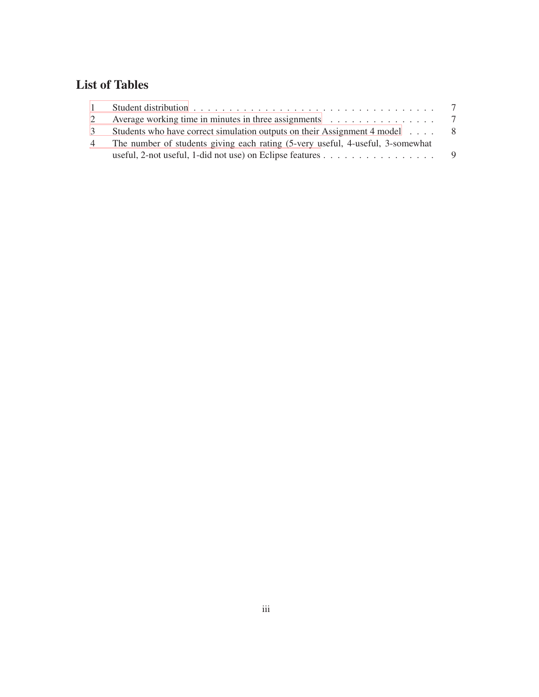# **List of Tables**

|   | Average working time in minutes in three assignments $\dots \dots \dots \dots \dots$           |     |
|---|------------------------------------------------------------------------------------------------|-----|
|   | Students who have correct simulation outputs on their Assignment 4 model                       | - 8 |
| 4 | The number of students giving each rating (5-very useful, 4-useful, 3-somewhat                 |     |
|   | useful, 2-not useful, 1-did not use) on Eclipse features $\dots \dots \dots \dots \dots \dots$ |     |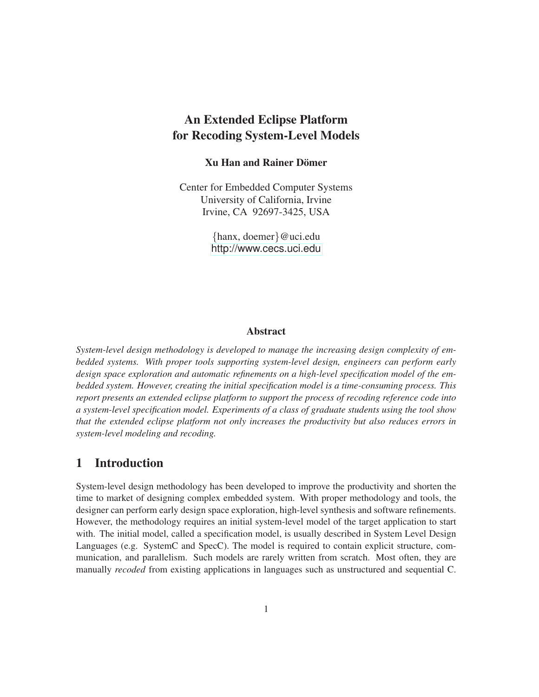# **An Extended Eclipse Platform for Recoding System-Level Models**

### **Xu Han and Rainer Dömer**

Center for Embedded Computer Systems University of California, Irvine Irvine, CA 92697-3425, USA

> {hanx, doemer}@uci.edu <http://www.cecs.uci.edu>

### **Abstract**

*System-level design methodology is developed to manage the increasing design complexity of embedded systems. With proper tools supporting system-level design, engineers can perform early design space exploration and automatic refinements on a high-level specification model of the embedded system. However, creating the initial specification model is a time-consuming process. This report presents an extended eclipse platform to support the process of recoding reference code into a system-level specification model. Experiments of a class of graduate students using the tool show that the extended eclipse platform not only increases the productivity but also reduces errors in system-level modeling and recoding.*

# <span id="page-5-0"></span>**1 Introduction**

System-level design methodology has been developed to improve the productivity and shorten the time to market of designing complex embedded system. With proper methodology and tools, the designer can perform early design space exploration, high-level synthesis and software refinements. However, the methodology requires an initial system-level model of the target application to start with. The initial model, called a specification model, is usually described in System Level Design Languages (e.g. SystemC and SpecC). The model is required to contain explicit structure, communication, and parallelism. Such models are rarely written from scratch. Most often, they are manually *recoded* from existing applications in languages such as unstructured and sequential C.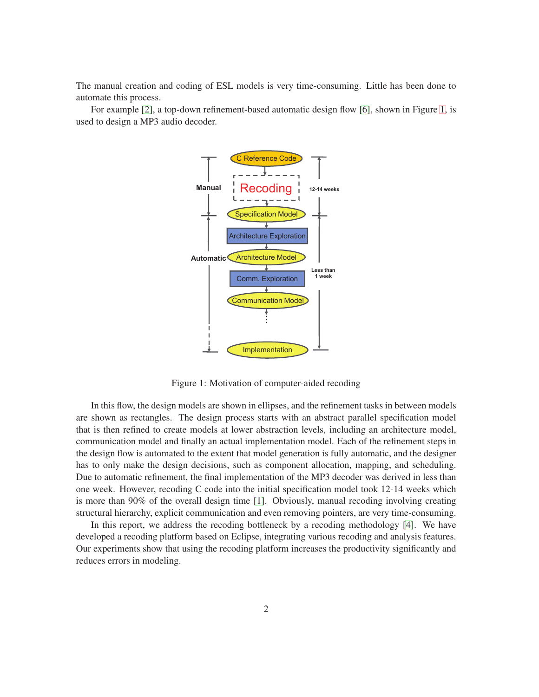The manual creation and coding of ESL models is very time-consuming. Little has been done to automate this process.

For example [\[2\]](#page-15-1), a top-down refinement-based automatic design flow [\[6\]](#page-15-2), shown in Figure [1,](#page-5-0) is used to design a MP3 audio decoder.



Figure 1: Motivation of computer-aided recoding

In this flow, the design models are shown in ellipses, and the refinement tasks in between models are shown as rectangles. The design process starts with an abstract parallel specification model that is then refined to create models at lower abstraction levels, including an architecture model, communication model and finally an actual implementation model. Each of the refinement steps in the design flow is automated to the extent that model generation is fully automatic, and the designer has to only make the design decisions, such as component allocation, mapping, and scheduling. Due to automatic refinement, the final implementation of the MP3 decoder was derived in less than one week. However, recoding C code into the initial specification model took 12-14 weeks which is more than 90% of the overall design time [\[1\]](#page-15-3). Obviously, manual recoding involving creating structural hierarchy, explicit communication and even removing pointers, are very time-consuming.

In this report, we address the recoding bottleneck by a recoding methodology [\[4\]](#page-15-4). We have developed a recoding platform based on Eclipse, integrating various recoding and analysis features. Our experiments show that using the recoding platform increases the productivity significantly and reduces errors in modeling.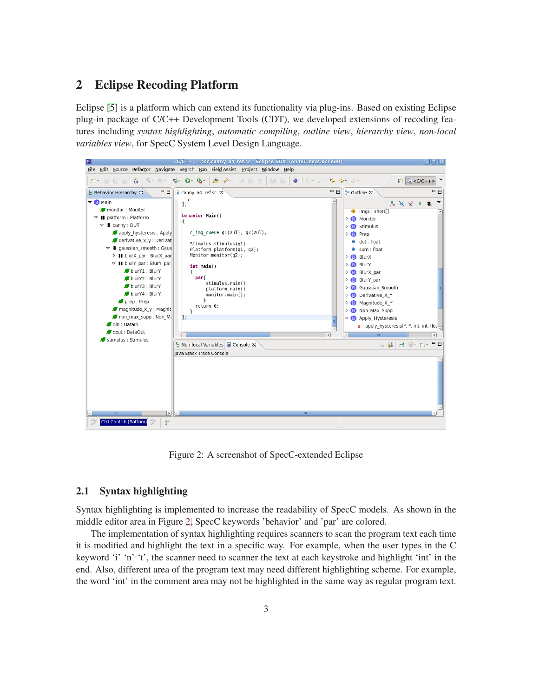## <span id="page-7-0"></span>**2 Eclipse Recoding Platform**

Eclipse [\[5\]](#page-15-5) is a platform which can extend its functionality via plug-ins. Based on existing Eclipse plug-in package of C/C++ Development Tools (CDT), we developed extensions of recoding features including *syntax highlighting*, *automatic compiling*, *outline view*, *hierarchy view*, *non-local variables view*, for SpecC System Level Design Language.



Figure 2: A screenshot of SpecC-extended Eclipse

### <span id="page-7-1"></span>**2.1 Syntax highlighting**

Syntax highlighting is implemented to increase the readability of SpecC models. As shown in the middle editor area in Figure [2,](#page-7-0) SpecC keywords 'behavior' and 'par' are colored.

The implementation of syntax highlighting requires scanners to scan the program text each time it is modified and highlight the text in a specific way. For example, when the user types in the C keyword 'i' 'n' 't', the scanner need to scanner the text at each keystroke and highlight 'int' in the end. Also, different area of the program text may need different highlighting scheme. For example, the word 'int' in the comment area may not be highlighted in the same way as regular program text.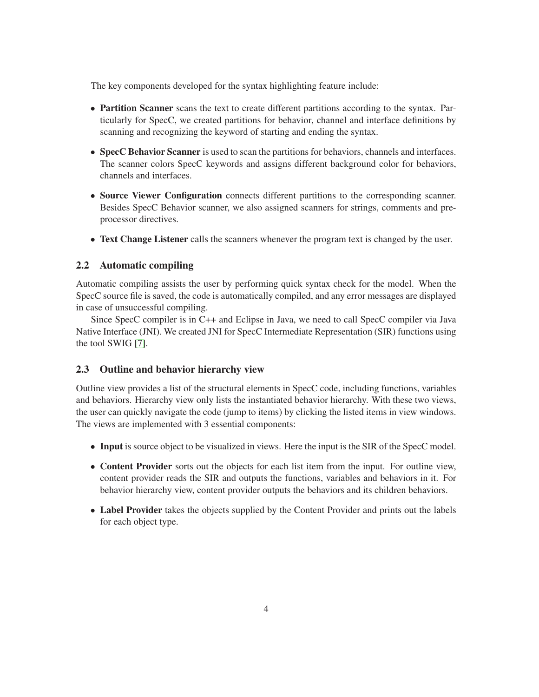The key components developed for the syntax highlighting feature include:

- **Partition Scanner** scans the text to create different partitions according to the syntax. Particularly for SpecC, we created partitions for behavior, channel and interface definitions by scanning and recognizing the keyword of starting and ending the syntax.
- **SpecC Behavior Scanner** is used to scan the partitions for behaviors, channels and interfaces. The scanner colors SpecC keywords and assigns different background color for behaviors, channels and interfaces.
- **Source Viewer Configuration** connects different partitions to the corresponding scanner. Besides SpecC Behavior scanner, we also assigned scanners for strings, comments and preprocessor directives.
- **Text Change Listener** calls the scanners whenever the program text is changed by the user.

### <span id="page-8-0"></span>**2.2 Automatic compiling**

Automatic compiling assists the user by performing quick syntax check for the model. When the SpecC source file is saved, the code is automatically compiled, and any error messages are displayed in case of unsuccessful compiling.

Since SpecC compiler is in C++ and Eclipse in Java, we need to call SpecC compiler via Java Native Interface (JNI). We created JNI for SpecC Intermediate Representation (SIR) functions using the tool SWIG [\[7\]](#page-15-6).

### <span id="page-8-1"></span>**2.3 Outline and behavior hierarchy view**

Outline view provides a list of the structural elements in SpecC code, including functions, variables and behaviors. Hierarchy view only lists the instantiated behavior hierarchy. With these two views, the user can quickly navigate the code (jump to items) by clicking the listed items in view windows. The views are implemented with 3 essential components:

- **Input** is source object to be visualized in views. Here the input is the SIR of the SpecC model.
- **Content Provider** sorts out the objects for each list item from the input. For outline view, content provider reads the SIR and outputs the functions, variables and behaviors in it. For behavior hierarchy view, content provider outputs the behaviors and its children behaviors.
- **Label Provider** takes the objects supplied by the Content Provider and prints out the labels for each object type.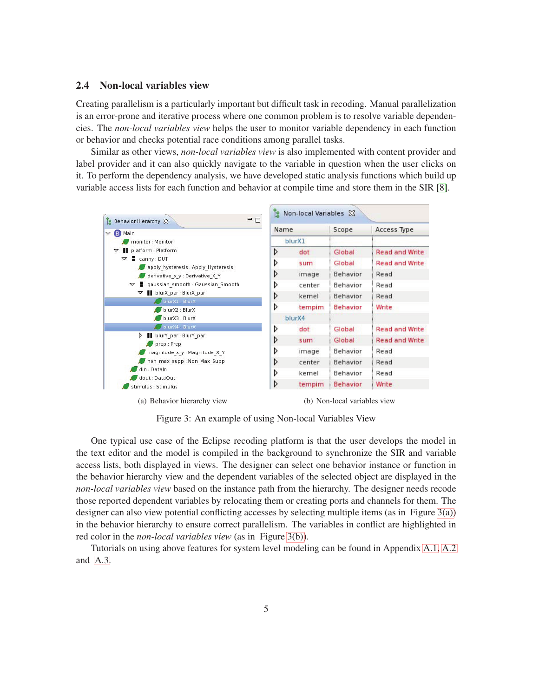### <span id="page-9-0"></span>**2.4 Non-local variables view**

Creating parallelism is a particularly important but difficult task in recoding. Manual parallelization is an error-prone and iterative process where one common problem is to resolve variable dependencies. The *non-local variables view* helps the user to monitor variable dependency in each function or behavior and checks potential race conditions among parallel tasks.

Similar as other views, *non-local variables view* is also implemented with content provider and label provider and it can also quickly navigate to the variable in question when the user clicks on it. To perform the dependency analysis, we have developed static analysis functions which build up variable access lists for each function and behavior at compile time and store them in the SIR [\[8\]](#page-15-7).

<span id="page-9-2"></span>

<span id="page-9-1"></span>Figure 3: An example of using Non-local Variables View

One typical use case of the Eclipse recoding platform is that the user develops the model in the text editor and the model is compiled in the background to synchronize the SIR and variable access lists, both displayed in views. The designer can select one behavior instance or function in the behavior hierarchy view and the dependent variables of the selected object are displayed in the *non-local variables view* based on the instance path from the hierarchy. The designer needs recode those reported dependent variables by relocating them or creating ports and channels for them. The designer can also view potential conflicting accesses by selecting multiple items (as in Figure [3\(a\)\)](#page-9-2) in the behavior hierarchy to ensure correct parallelism. The variables in conflict are highlighted in red color in the *non-local variables view* (as in Figure [3\(b\)\)](#page-9-1).

Tutorials on using above features for system level modeling can be found in Appendix [A.1,](#page-16-1) [A.2](#page-23-0) and [A.3.](#page-27-0)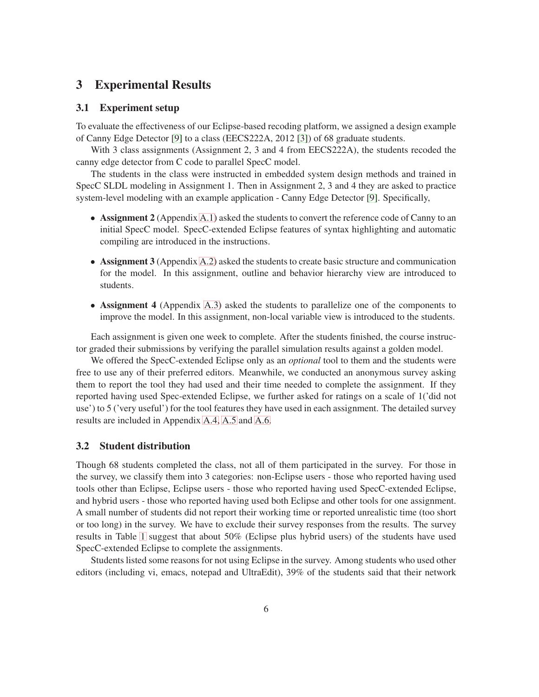## <span id="page-10-1"></span><span id="page-10-0"></span>**3 Experimental Results**

## **3.1 Experiment setup**

To evaluate the effectiveness of our Eclipse-based recoding platform, we assigned a design example of Canny Edge Detector [\[9\]](#page-15-8) to a class (EECS222A, 2012 [\[3\]](#page-15-9)) of 68 graduate students.

With 3 class assignments (Assignment 2, 3 and 4 from EECS222A), the students recoded the canny edge detector from C code to parallel SpecC model.

The students in the class were instructed in embedded system design methods and trained in SpecC SLDL modeling in Assignment 1. Then in Assignment 2, 3 and 4 they are asked to practice system-level modeling with an example application - Canny Edge Detector [\[9\]](#page-15-8). Specifically,

- **Assignment 2** (Appendix [A.1\)](#page-16-1) asked the students to convert the reference code of Canny to an initial SpecC model. SpecC-extended Eclipse features of syntax highlighting and automatic compiling are introduced in the instructions.
- **Assignment 3** (Appendix [A.2\)](#page-23-0) asked the students to create basic structure and communication for the model. In this assignment, outline and behavior hierarchy view are introduced to students.
- **Assignment 4** (Appendix [A.3\)](#page-27-0) asked the students to parallelize one of the components to improve the model. In this assignment, non-local variable view is introduced to the students.

Each assignment is given one week to complete. After the students finished, the course instructor graded their submissions by verifying the parallel simulation results against a golden model.

We offered the SpecC-extended Eclipse only as an *optional* tool to them and the students were free to use any of their preferred editors. Meanwhile, we conducted an anonymous survey asking them to report the tool they had used and their time needed to complete the assignment. If they reported having used Spec-extended Eclipse, we further asked for ratings on a scale of 1('did not use') to 5 ('very useful') for the tool features they have used in each assignment. The detailed survey results are included in Appendix [A.4,](#page-32-0) [A.5](#page-33-0) and [A.6.](#page-34-0)

### <span id="page-10-2"></span>**3.2 Student distribution**

Though 68 students completed the class, not all of them participated in the survey. For those in the survey, we classify them into 3 categories: non-Eclipse users - those who reported having used tools other than Eclipse, Eclipse users - those who reported having used SpecC-extended Eclipse, and hybrid users - those who reported having used both Eclipse and other tools for one assignment. A small number of students did not report their working time or reported unrealistic time (too short or too long) in the survey. We have to exclude their survey responses from the results. The survey results in Table [1](#page-10-2) suggest that about 50% (Eclipse plus hybrid users) of the students have used SpecC-extended Eclipse to complete the assignments.

Students listed some reasons for not using Eclipse in the survey. Among students who used other editors (including vi, emacs, notepad and UltraEdit), 39% of the students said that their network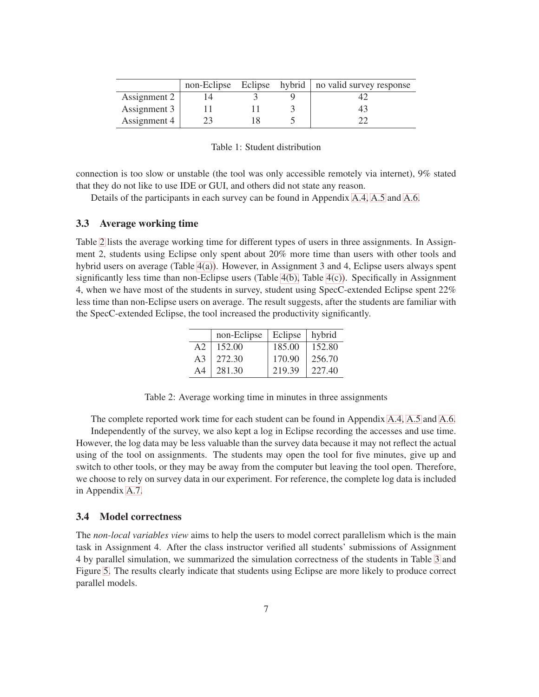|              |  | non-Eclipse Eclipse hybrid   no valid survey response |
|--------------|--|-------------------------------------------------------|
| Assignment 2 |  |                                                       |
| Assignment 3 |  | 43                                                    |
| Assignment 4 |  |                                                       |

Table 1: Student distribution

connection is too slow or unstable (the tool was only accessible remotely via internet), 9% stated that they do not like to use IDE or GUI, and others did not state any reason.

Details of the participants in each survey can be found in Appendix [A.4,](#page-32-0) [A.5](#page-33-0) and [A.6.](#page-34-0)

### <span id="page-11-0"></span>**3.3 Average working time**

Table [2](#page-11-0) lists the average working time for different types of users in three assignments. In Assignment 2, students using Eclipse only spent about 20% more time than users with other tools and hybrid users on average (Table [4\(a\)\)](#page-12-2). However, in Assignment 3 and 4, Eclipse users always spent significantly less time than non-Eclipse users (Table  $4(b)$ , Table  $4(c)$ ). Specifically in Assignment 4, when we have most of the students in survey, student using SpecC-extended Eclipse spent 22% less time than non-Eclipse users on average. The result suggests, after the students are familiar with the SpecC-extended Eclipse, the tool increased the productivity significantly.

|    | non-Eclipse | Eclipse | hybrid |
|----|-------------|---------|--------|
| A2 | 152.00      | 185.00  | 152.80 |
| A3 | 272.30      | 170.90  | 256.70 |
| A4 | 281.30      | 219.39  | 227.40 |

Table 2: Average working time in minutes in three assignments

The complete reported work time for each student can be found in Appendix [A.4,](#page-32-0) [A.5](#page-33-0) and [A.6.](#page-34-0) Independently of the survey, we also kept a log in Eclipse recording the accesses and use time. However, the log data may be less valuable than the survey data because it may not reflect the actual using of the tool on assignments. The students may open the tool for five minutes, give up and switch to other tools, or they may be away from the computer but leaving the tool open. Therefore, we choose to rely on survey data in our experiment. For reference, the complete log data is included in Appendix [A.7.](#page-35-0)

### <span id="page-11-1"></span>**3.4 Model correctness**

The *non-local variables view* aims to help the users to model correct parallelism which is the main task in Assignment 4. After the class instructor verified all students' submissions of Assignment 4 by parallel simulation, we summarized the simulation correctness of the students in Table [3](#page-11-1) and Figure [5.](#page-12-1) The results clearly indicate that students using Eclipse are more likely to produce correct parallel models.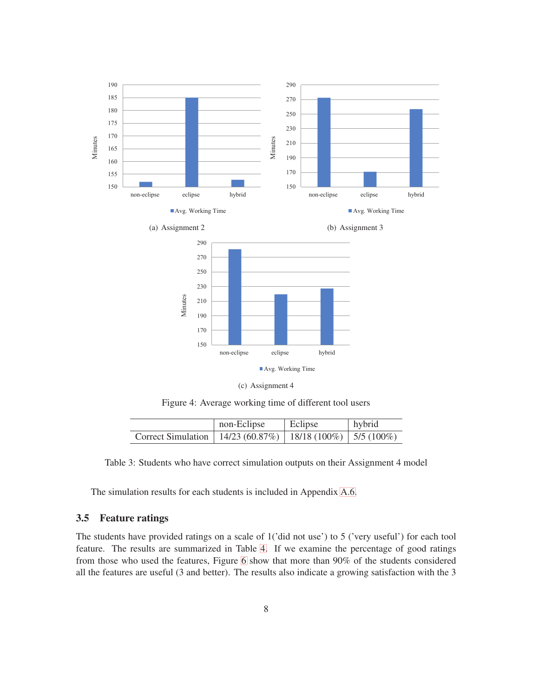<span id="page-12-3"></span><span id="page-12-2"></span>

Figure 4: Average working time of different tool users

<span id="page-12-1"></span>

|                                                                 | non-Eclipse | Eclipse | hybrid |
|-----------------------------------------------------------------|-------------|---------|--------|
| Correct Simulation   14/23 (60.87%)   18/18 (100%)   5/5 (100%) |             |         |        |

Table 3: Students who have correct simulation outputs on their Assignment 4 model

The simulation results for each students is included in Appendix [A.6.](#page-34-0)

### <span id="page-12-0"></span>**3.5 Feature ratings**

The students have provided ratings on a scale of 1('did not use') to 5 ('very useful') for each tool feature. The results are summarized in Table [4.](#page-12-0) If we examine the percentage of good ratings from those who used the features, Figure [6](#page-14-0) show that more than 90% of the students considered all the features are useful (3 and better). The results also indicate a growing satisfaction with the 3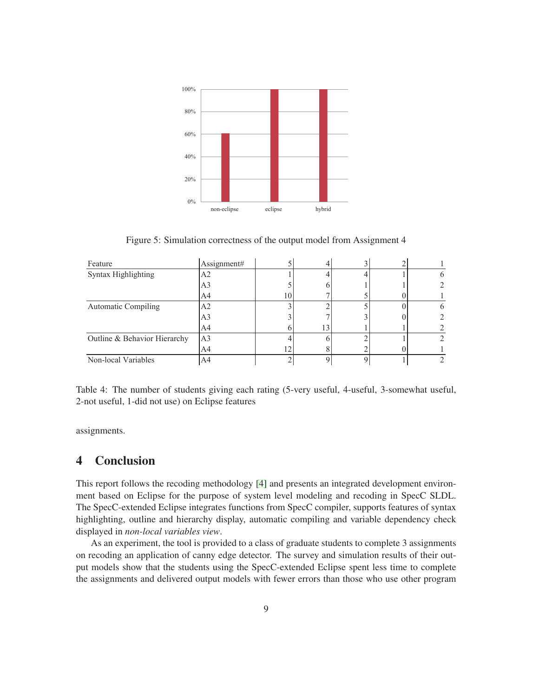

Figure 5: Simulation correctness of the output model from Assignment 4

| Feature                      | Assignment#    |                |    |  |  |
|------------------------------|----------------|----------------|----|--|--|
| Syntax Highlighting          | A2             |                |    |  |  |
|                              | A3             |                |    |  |  |
|                              | A4             | 10             |    |  |  |
| <b>Automatic Compiling</b>   | A <sub>2</sub> |                |    |  |  |
|                              | A3             |                |    |  |  |
|                              | A4             |                | 13 |  |  |
| Outline & Behavior Hierarchy | A <sub>3</sub> |                |    |  |  |
|                              | A4             | $\overline{2}$ |    |  |  |
| Non-local Variables          | A4             |                |    |  |  |

Table 4: The number of students giving each rating (5-very useful, 4-useful, 3-somewhat useful, 2-not useful, 1-did not use) on Eclipse features

assignments.

## <span id="page-13-0"></span>**4 Conclusion**

This report follows the recoding methodology [\[4\]](#page-15-4) and presents an integrated development environment based on Eclipse for the purpose of system level modeling and recoding in SpecC SLDL. The SpecC-extended Eclipse integrates functions from SpecC compiler, supports features of syntax highlighting, outline and hierarchy display, automatic compiling and variable dependency check displayed in *non-local variables view*.

As an experiment, the tool is provided to a class of graduate students to complete 3 assignments on recoding an application of canny edge detector. The survey and simulation results of their output models show that the students using the SpecC-extended Eclipse spent less time to complete the assignments and delivered output models with fewer errors than those who use other program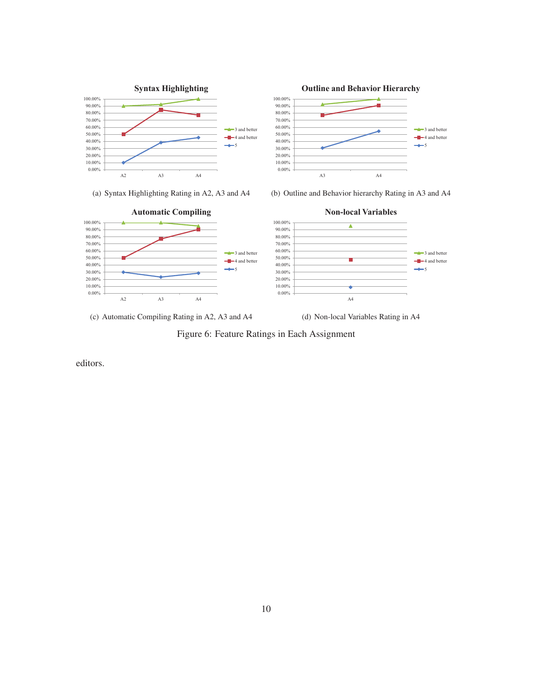

(a) Syntax Highlighting Rating in A2, A3 and A4



(b) Outline and Behavior hierarchy Rating in A3 and A4



(c) Automatic Compiling Rating in A2, A3 and A4

(d) Non-local Variables Rating in A4

<span id="page-14-0"></span>Figure 6: Feature Ratings in Each Assignment

editors.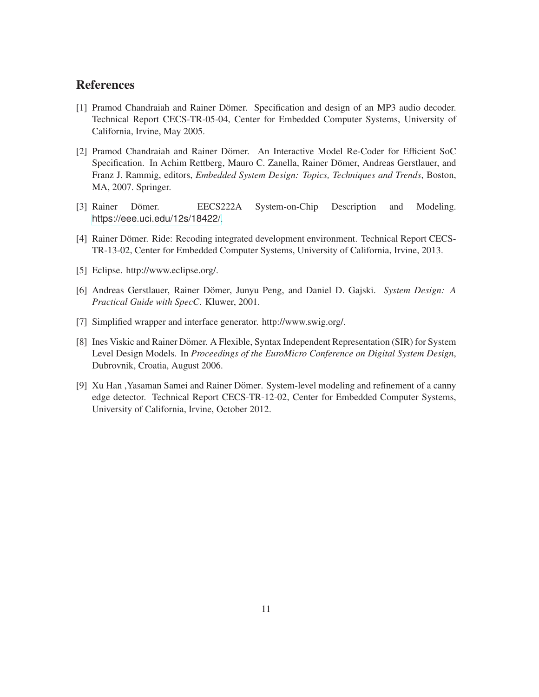# <span id="page-15-3"></span><span id="page-15-0"></span>**References**

- [1] Pramod Chandraiah and Rainer Dömer. Specification and design of an MP3 audio decoder. Technical Report CECS-TR-05-04, Center for Embedded Computer Systems, University of California, Irvine, May 2005.
- <span id="page-15-1"></span>[2] Pramod Chandraiah and Rainer Dömer. An Interactive Model Re-Coder for Efficient SoC Specification. In Achim Rettberg, Mauro C. Zanella, Rainer Dömer, Andreas Gerstlauer, and Franz J. Rammig, editors, *Embedded System Design: Topics, Techniques and Trends*, Boston, MA, 2007. Springer.
- <span id="page-15-9"></span><span id="page-15-4"></span>[3] Rainer Dömer. EECS222A System-on-Chip Description and Modeling. <https://eee.uci.edu/12s/18422/>.
- <span id="page-15-5"></span>[4] Rainer Dömer. Ride: Recoding integrated development environment. Technical Report CECS-TR-13-02, Center for Embedded Computer Systems, University of California, Irvine, 2013.
- <span id="page-15-2"></span>[5] Eclipse. http://www.eclipse.org/.
- <span id="page-15-6"></span>[6] Andreas Gerstlauer, Rainer Domer, Junyu Peng, and Daniel D. Gajski. ¨ *System Design: A Practical Guide with SpecC*. Kluwer, 2001.
- <span id="page-15-7"></span>[7] Simplified wrapper and interface generator. http://www.swig.org/.
- [8] Ines Viskic and Rainer Dömer. A Flexible, Syntax Independent Representation (SIR) for System Level Design Models. In *Proceedings of the EuroMicro Conference on Digital System Design*, Dubrovnik, Croatia, August 2006.
- <span id="page-15-8"></span>[9] Xu Han, Yasaman Samei and Rainer Dömer. System-level modeling and refinement of a canny edge detector. Technical Report CECS-TR-12-02, Center for Embedded Computer Systems, University of California, Irvine, October 2012.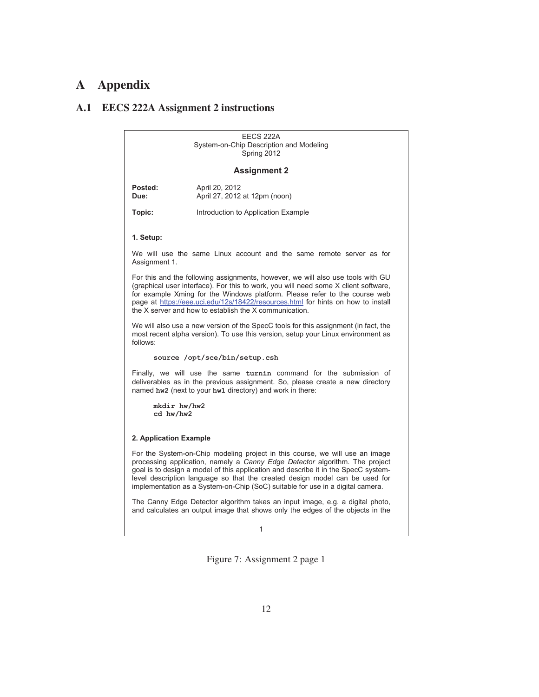# <span id="page-16-0"></span>**A Appendix**

# <span id="page-16-1"></span>**A.1 EECS 222A Assignment 2 instructions**

|                           | EECS 222A<br>System-on-Chip Description and Modeling<br>Spring 2012                                                                                                                                                                                                                                                                                                                                                |
|---------------------------|--------------------------------------------------------------------------------------------------------------------------------------------------------------------------------------------------------------------------------------------------------------------------------------------------------------------------------------------------------------------------------------------------------------------|
|                           | <b>Assignment 2</b>                                                                                                                                                                                                                                                                                                                                                                                                |
| Posted:<br>Due:           | April 20, 2012<br>April 27, 2012 at 12pm (noon)                                                                                                                                                                                                                                                                                                                                                                    |
| Topic:                    | Introduction to Application Example                                                                                                                                                                                                                                                                                                                                                                                |
| 1. Setup:                 |                                                                                                                                                                                                                                                                                                                                                                                                                    |
| Assignment 1.             | We will use the same Linux account and the same remote server as for                                                                                                                                                                                                                                                                                                                                               |
|                           | For this and the following assignments, however, we will also use tools with GU<br>(graphical user interface). For this to work, you will need some X client software,<br>for example Xming for the Windows platform. Please refer to the course web<br>page at https://eee.uci.edu/12s/18422/resources.html for hints on how to install<br>the X server and how to establish the X communication.                 |
| follows:                  | We will also use a new version of the SpecC tools for this assignment (in fact, the<br>most recent alpha version). To use this version, setup your Linux environment as                                                                                                                                                                                                                                            |
|                           | source /opt/sce/bin/setup.csh                                                                                                                                                                                                                                                                                                                                                                                      |
|                           | Finally, we will use the same turnin command for the submission of<br>deliverables as in the previous assignment. So, please create a new directory<br>named hw2 (next to your hw1 directory) and work in there:                                                                                                                                                                                                   |
| mkdir hw/hw2<br>cd hw/hw2 |                                                                                                                                                                                                                                                                                                                                                                                                                    |
| 2. Application Example    |                                                                                                                                                                                                                                                                                                                                                                                                                    |
|                           | For the System-on-Chip modeling project in this course, we will use an image<br>processing application, namely a Canny Edge Detector algorithm. The project<br>goal is to design a model of this application and describe it in the SpecC system-<br>level description language so that the created design model can be used for<br>implementation as a System-on-Chip (SoC) suitable for use in a digital camera. |
|                           | The Canny Edge Detector algorithm takes an input image, e.g. a digital photo,<br>and calculates an output image that shows only the edges of the objects in the                                                                                                                                                                                                                                                    |
|                           | 1                                                                                                                                                                                                                                                                                                                                                                                                                  |

Figure 7: Assignment 2 page 1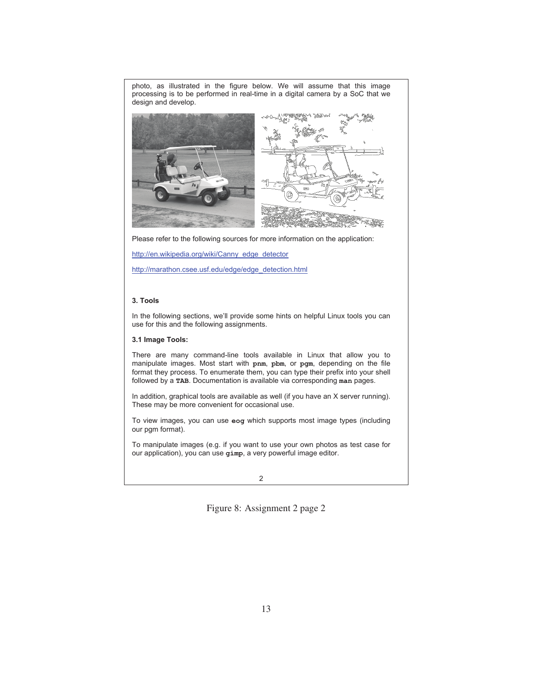photo, as illustrated in the figure below. We will assume that this image processing is to be performed in real-time in a digital camera by a SoC that we design and develop.



Please refer to the following sources for more information on the application:

http://en.wikipedia.org/wiki/Canny\_edge\_detector

http://marathon.csee.usf.edu/edge/edge\_detection.html

### **3. Tools**

In the following sections, we'll provide some hints on helpful Linux tools you can use for this and the following assignments.

## **3.1 Image Tools:**

There are many command-line tools available in Linux that allow you to manipulate images. Most start with **pnm**, **pbm**, or **pgm**, depending on the file format they process. To enumerate them, you can type their prefix into your shell followed by a **TAB**. Documentation is available via corresponding **man** pages.

In addition, graphical tools are available as well (if you have an X server running). These may be more convenient for occasional use.

To view images, you can use **eog** which supports most image types (including our pgm format).

To manipulate images (e.g. if you want to use your own photos as test case for our application), you can use **gimp**, a very powerful image editor.

Figure 8: Assignment 2 page 2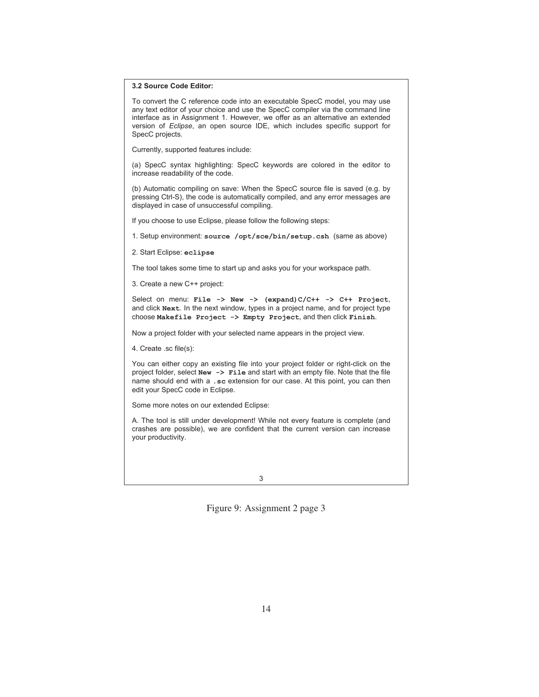#### **3.2 Source Code Editor:**

To convert the C reference code into an executable SpecC model, you may use any text editor of your choice and use the SpecC compiler via the command line interface as in Assignment 1. However, we offer as an alternative an extended version of *Eclipse*, an open source IDE, which includes specific support for SpecC projects.

Currently, supported features include:

(a) SpecC syntax highlighting: SpecC keywords are colored in the editor to increase readability of the code.

(b) Automatic compiling on save: When the SpecC source file is saved (e.g. by pressing Ctrl-S), the code is automatically compiled, and any error messages are displayed in case of unsuccessful compiling.

If you choose to use Eclipse, please follow the following steps:

1. Setup environment: **source /opt/sce/bin/setup.csh** (same as above)

2. Start Eclipse: **eclipse**

The tool takes some time to start up and asks you for your workspace path.

3. Create a new C++ project:

Select on menu: **File -> New -> (expand)C/C++ -> C++ Project**, and click **Next**. In the next window, types in a project name, and for project type choose **Makefile Project -> Empty Project**, and then click **Finish**.

Now a project folder with your selected name appears in the project view.

4. Create .sc file(s):

You can either copy an existing file into your project folder or right-click on the project folder, select **New -> File** and start with an empty file. Note that the file name should end with a **.sc** extension for our case. At this point, you can then edit your SpecC code in Eclipse.

Some more notes on our extended Eclipse:

A. The tool is still under development! While not every feature is complete (and crashes are possible), we are confident that the current version can increase your productivity.

Figure 9: Assignment 2 page 3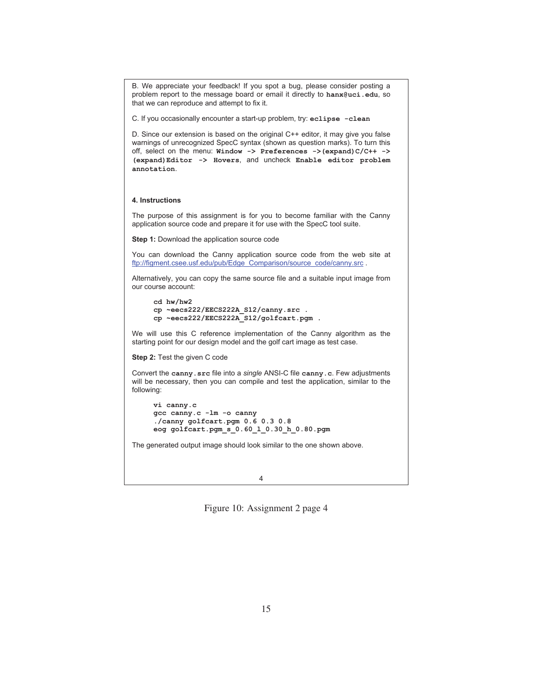B. We appreciate your feedback! If you spot a bug, please consider posting a problem report to the message board or email it directly to **hanx@uci.edu**, so that we can reproduce and attempt to fix it.

C. If you occasionally encounter a start-up problem, try: **eclipse -clean**

D. Since our extension is based on the original C++ editor, it may give you false warnings of unrecognized SpecC syntax (shown as question marks). To turn this off, select on the menu: **Window -> Preferences ->(expand)C/C++ -> (expand)Editor -> Hovers**, and uncheck **Enable editor problem annotation**.

#### **4. Instructions**

The purpose of this assignment is for you to become familiar with the Canny application source code and prepare it for use with the SpecC tool suite.

**Step 1:** Download the application source code

You can download the Canny application source code from the web site at ftp://figment.csee.usf.edu/pub/Edge\_Comparison/source\_code/canny.src .

Alternatively, you can copy the same source file and a suitable input image from our course account:

```
cd hw/hw2 
cp ~eecs222/EECS222A_S12/canny.src . 
cp ~eecs222/EECS222A_S12/golfcart.pgm .
```
We will use this C reference implementation of the Canny algorithm as the starting point for our design model and the golf cart image as test case.

**Step 2:** Test the given C code

Convert the **canny.src** file into a *single* ANSI-C file **canny.c**. Few adjustments will be necessary, then you can compile and test the application, similar to the following:

```
vi canny.c 
gcc canny.c -lm -o canny 
./canny golfcart.pgm 0.6 0.3 0.8 
eog golfcart.pgm_s_0.60_l_0.30_h_0.80.pgm
```
The generated output image should look similar to the one shown above.

4

Figure 10: Assignment 2 page 4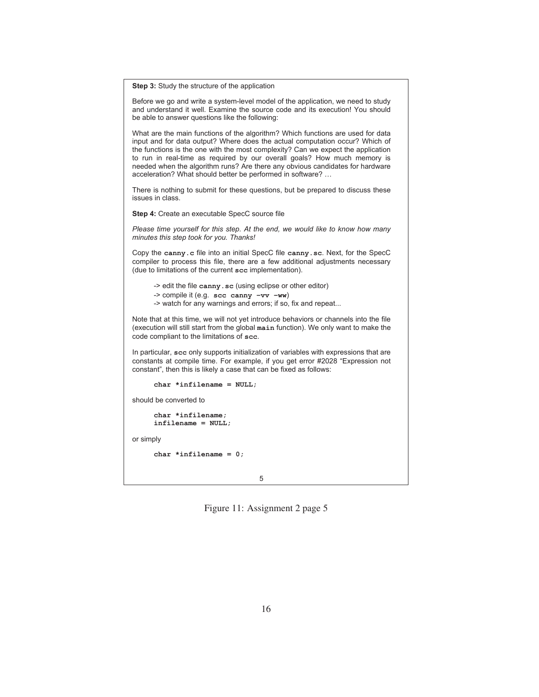**Step 3:** Study the structure of the application

Before we go and write a system-level model of the application, we need to study and understand it well. Examine the source code and its execution! You should be able to answer questions like the following:

What are the main functions of the algorithm? Which functions are used for data input and for data output? Where does the actual computation occur? Which of the functions is the one with the most complexity? Can we expect the application to run in real-time as required by our overall goals? How much memory is needed when the algorithm runs? Are there any obvious candidates for hardware acceleration? What should better be performed in software? …

There is nothing to submit for these questions, but be prepared to discuss these issues in class.

**Step 4:** Create an executable SpecC source file

*Please time yourself for this step. At the end, we would like to know how many minutes this step took for you. Thanks!* 

Copy the **canny.c** file into an initial SpecC file **canny.sc**. Next, for the SpecC compiler to process this file, there are a few additional adjustments necessary (due to limitations of the current **scc** implementation).

-> edit the file **canny.sc** (using eclipse or other editor)

-> compile it (e.g. **scc canny –vv –ww**)

-> watch for any warnings and errors; if so, fix and repeat...

Note that at this time, we will not yet introduce behaviors or channels into the file (execution will still start from the global **main** function). We only want to make the code compliant to the limitations of **scc**.

In particular, **scc** only supports initialization of variables with expressions that are constants at compile time. For example, if you get error #2028 "Expression not constant", then this is likely a case that can be fixed as follows:

**char \*infilename = NULL;** 

should be converted to

```
char *infilename; 
infilename = NULL;
```
or simply

**char \*infilename = 0;** 

5

Figure 11: Assignment 2 page 5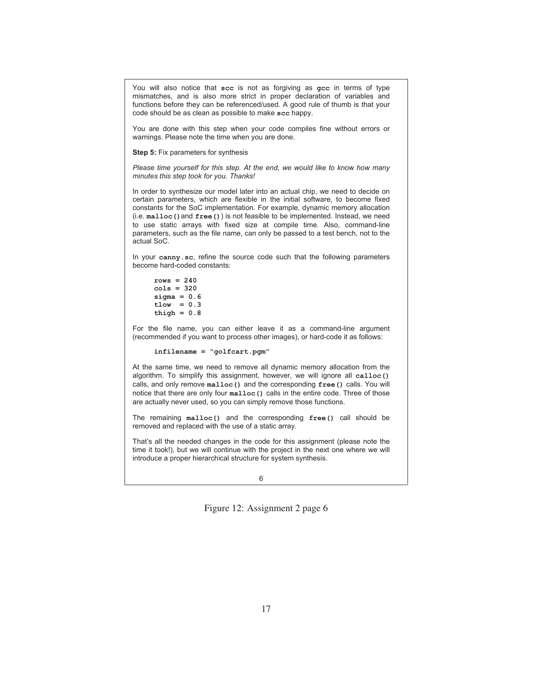You will also notice that **scc** is not as forgiving as **gcc** in terms of type mismatches, and is also more strict in proper declaration of variables and functions before they can be referenced/used. A good rule of thumb is that your code should be as clean as possible to make **scc** happy.

You are done with this step when your code compiles fine without errors or warnings. Please note the time when you are done.

**Step 5:** Fix parameters for synthesis

*Please time yourself for this step. At the end, we would like to know how many minutes this step took for you. Thanks!* 

In order to synthesize our model later into an actual chip, we need to decide on certain parameters, which are flexible in the initial software, to become fixed constants for the SoC implementation. For example, dynamic memory allocation (i.e. **malloc()**and **free()**) is not feasible to be implemented. Instead, we need to use static arrays with fixed size at compile time. Also, command-line parameters, such as the file name, can only be passed to a test bench, not to the actual SoC.

In your **canny.sc**, refine the source code such that the following parameters become hard-coded constants:

**rows = 240 cols = 320 sigma = 0.6 tlow = 0.3 thigh = 0.8** 

For the file name, you can either leave it as a command-line argument (recommended if you want to process other images), or hard-code it as follows:

**infilename = "golfcart.pgm"** 

At the same time, we need to remove all dynamic memory allocation from the algorithm. To simplify this assignment, however, we will ignore all **calloc()** calls, and only remove **malloc()** and the corresponding **free()** calls. You will notice that there are only four **malloc()** calls in the entire code. Three of those are actually never used, so you can simply remove those functions.

The remaining **malloc()** and the corresponding **free()** call should be removed and replaced with the use of a static array.

That's all the needed changes in the code for this assignment (please note the time it took!), but we will continue with the project in the next one where we will introduce a proper hierarchical structure for system synthesis.

6

Figure 12: Assignment 2 page 6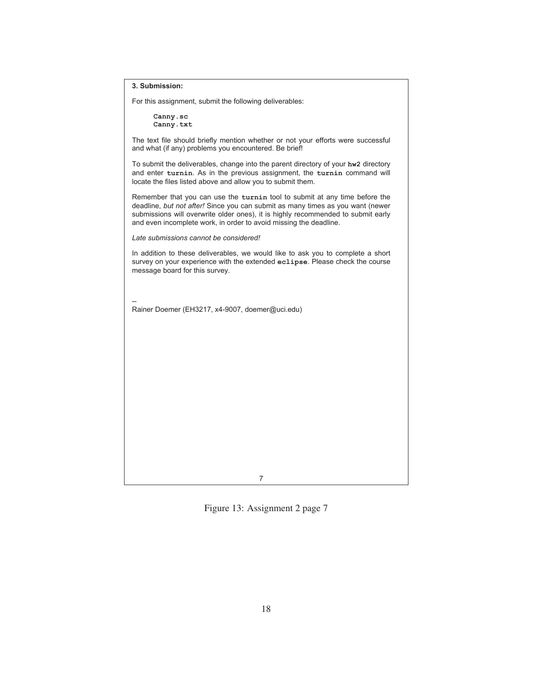#### **3. Submission:**

For this assignment, submit the following deliverables:

**Canny.sc Canny.txt**

The text file should briefly mention whether or not your efforts were successful and what (if any) problems you encountered. Be brief!

To submit the deliverables, change into the parent directory of your **hw2** directory and enter **turnin**. As in the previous assignment, the **turnin** command will locate the files listed above and allow you to submit them.

Remember that you can use the **turnin** tool to submit at any time before the deadline, *but not after!* Since you can submit as many times as you want (newer submissions will overwrite older ones), it is highly recommended to submit early and even incomplete work, in order to avoid missing the deadline.

*Late submissions cannot be considered!*

In addition to these deliverables, we would like to ask you to complete a short survey on your experience with the extended **eclipse**. Please check the course message board for this survey.

-- Rainer Doemer (EH3217, x4-9007, doemer@uci.edu)

7

Figure 13: Assignment 2 page 7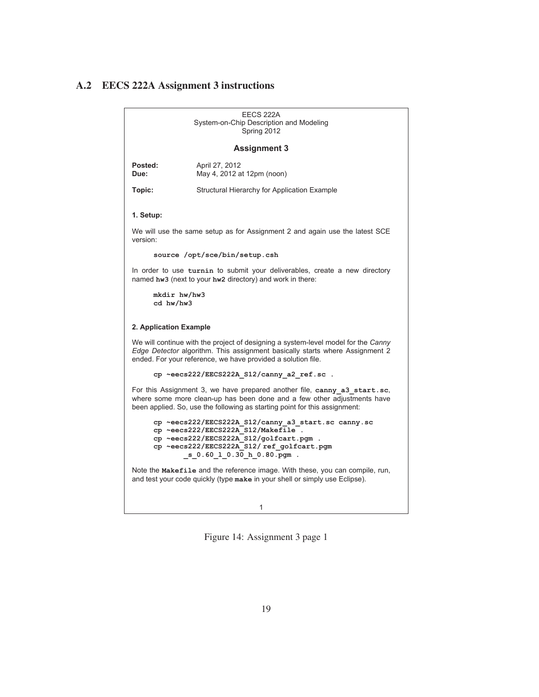### <span id="page-23-0"></span>**A.2 EECS 222A Assignment 3 instructions**

EECS 222A System-on-Chip Description and Modeling Spring 2012 **Assignment 3 Posted:** April 27, 2012<br> **Due:** May 4, 2012 a **Due:** May 4, 2012 at 12pm (noon) **Topic:** Structural Hierarchy for Application Example **1. Setup:**  We will use the same setup as for Assignment 2 and again use the latest SCE version: **source /opt/sce/bin/setup.csh**  In order to use **turnin** to submit your deliverables, create a new directory named **hw3** (next to your **hw2** directory) and work in there: **mkdir hw/hw3 cd hw/hw3 2. Application Example**  We will continue with the project of designing a system-level model for the *Canny Edge Detector* algorithm. This assignment basically starts where Assignment 2 ended. For your reference, we have provided a solution file. **cp ~eecs222/EECS222A\_S12/canny\_a2\_ref.sc .**  For this Assignment 3, we have prepared another file, **canny\_a3\_start.sc**, where some more clean-up has been done and a few other adjustments have been applied. So, use the following as starting point for this assignment: **cp ~eecs222/EECS222A\_S12/canny\_a3\_start.sc canny.sc cp ~eecs222/EECS222A\_S12/Makefile . cp ~eecs222/EECS222A\_S12/golfcart.pgm . cp ~eecs222/EECS222A\_S12/ ref\_golfcart.pgm \_s\_0.60\_l\_0.30\_h\_0.80.pgm .**  Note the **Makefile** and the reference image. With these, you can compile, run, and test your code quickly (type **make** in your shell or simply use Eclipse).

1

Figure 14: Assignment 3 page 1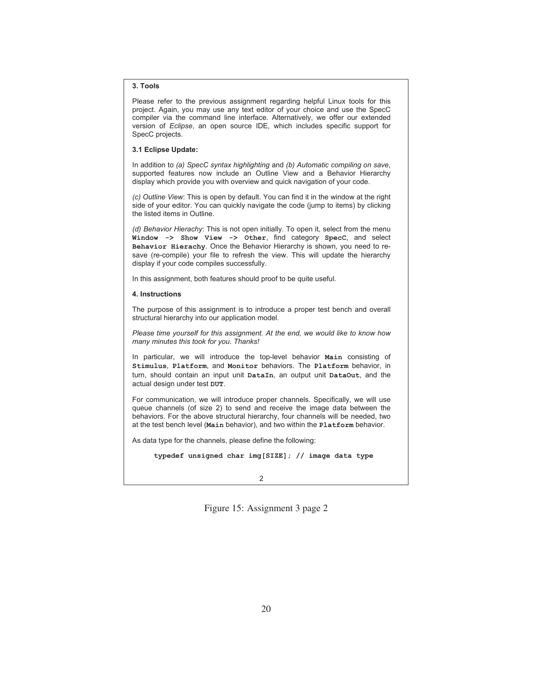#### **3. Tools**

Please refer to the previous assignment regarding helpful Linux tools for this project. Again, you may use any text editor of your choice and use the SpecC compiler via the command line interface. Alternatively, we offer our extended version of *Eclipse*, an open source IDE, which includes specific support for SpecC projects.

### **3.1 Eclipse Update:**

In addition to *(a) SpecC syntax highlighting* and *(b) Automatic compiling on save*, supported features now include an Outline View and a Behavior Hierarchy display which provide you with overview and quick navigation of your code.

*(c) Outline View*: This is open by default. You can find it in the window at the right side of your editor. You can quickly navigate the code (jump to items) by clicking the listed items in Outline.

*(d) Behavior Hierachy*: This is not open initially. To open it, select from the menu **Window -> Show View -> Other**, find category **SpecC**, and select **Behavior Hierachy**. Once the Behavior Hierarchy is shown, you need to resave (re-compile) your file to refresh the view. This will update the hierarchy display if your code compiles successfully.

In this assignment, both features should proof to be quite useful.

#### **4. Instructions**

The purpose of this assignment is to introduce a proper test bench and overall structural hierarchy into our application model.

*Please time yourself for this assignment. At the end, we would like to know how many minutes this took for you. Thanks!* 

In particular, we will introduce the top-level behavior **Main** consisting of **Stimulus**, **Platform**, and **Monitor** behaviors. The **Platform** behavior, in turn, should contain an input unit **DataIn**, an output unit **DataOut**, and the actual design under test **DUT**.

For communication, we will introduce proper channels. Specifically, we will use queue channels (of size 2) to send and receive the image data between the behaviors. For the above structural hierarchy, four channels will be needed, two at the test bench level (**Main** behavior), and two within the **Platform** behavior.

As data type for the channels, please define the following:

**typedef unsigned char img[SIZE]; // image data type**

Figure 15: Assignment 3 page 2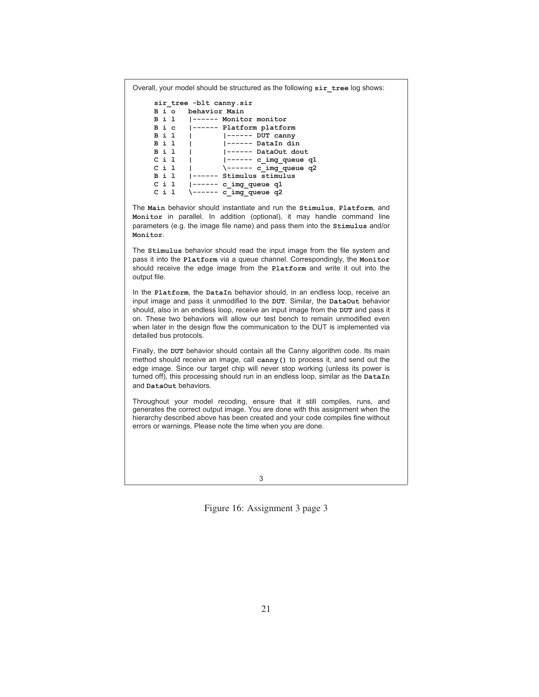Overall, your model should be structured as the following **sir\_tree** log shows:

```
sir_tree -blt canny.sir 
B i o behavior Main 
        B i l |------ Monitor monitor 
B i c |------ Platform platform<br>B i l | |------ DUT canny
B i l | |------ DUT canny 
B i l | |------ DataIn din 
B i l | |------ DataOut dout 
C i l | |------ c_img_queue q1 
C i l | \------ c_img_queue q2<br>B i l |------ Stimulus stimulus
B i l |------ Stimulus stimulus 
C i 1 |------ c_img_queue q1<br>C i 1 \------ c img queue q2
         \------ c_img_queue q2
```
The **Main** behavior should instantiate and run the **Stimulus**, **Platform**, and **Monitor** in parallel. In addition (optional), it may handle command line parameters (e.g. the image file name) and pass them into the **Stimulus** and/or **Monitor**.

The **Stimulus** behavior should read the input image from the file system and pass it into the **Platform** via a queue channel. Correspondingly, the **Monitor** should receive the edge image from the **Platform** and write it out into the output file.

In the **Platform**, the **DataIn** behavior should, in an endless loop, receive an input image and pass it unmodified to the **DUT**. Similar, the **DataOut** behavior should, also in an endless loop, receive an input image from the **DUT** and pass it on. These two behaviors will allow our test bench to remain unmodified even when later in the design flow the communication to the DUT is implemented via detailed bus protocols.

Finally, the **DUT** behavior should contain all the Canny algorithm code. Its main method should receive an image, call **canny()** to process it, and send out the edge image. Since our target chip will never stop working (unless its power is turned off), this processing should run in an endless loop, similar as the **DataIn** and **DataOut** behaviors.

Throughout your model recoding, ensure that it still compiles, runs, and generates the correct output image. You are done with this assignment when the hierarchy described above has been created and your code compiles fine without errors or warnings. Please note the time when you are done.

3

Figure 16: Assignment 3 page 3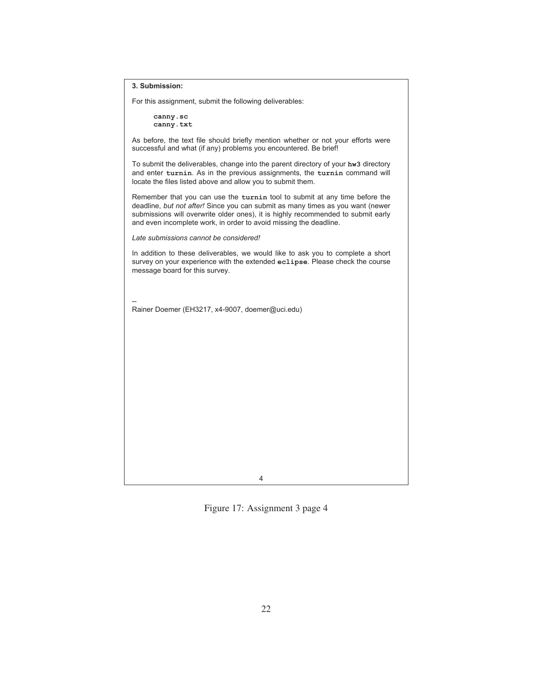#### **3. Submission:**

For this assignment, submit the following deliverables:

**canny.sc canny.txt**

As before, the text file should briefly mention whether or not your efforts were successful and what (if any) problems you encountered. Be brief!

To submit the deliverables, change into the parent directory of your **hw3** directory and enter **turnin**. As in the previous assignments, the **turnin** command will locate the files listed above and allow you to submit them.

Remember that you can use the **turnin** tool to submit at any time before the deadline, *but not after!* Since you can submit as many times as you want (newer submissions will overwrite older ones), it is highly recommended to submit early and even incomplete work, in order to avoid missing the deadline.

*Late submissions cannot be considered!*

In addition to these deliverables, we would like to ask you to complete a short survey on your experience with the extended **eclipse**. Please check the course message board for this survey.

-- Rainer Doemer (EH3217, x4-9007, doemer@uci.edu)

4

Figure 17: Assignment 3 page 4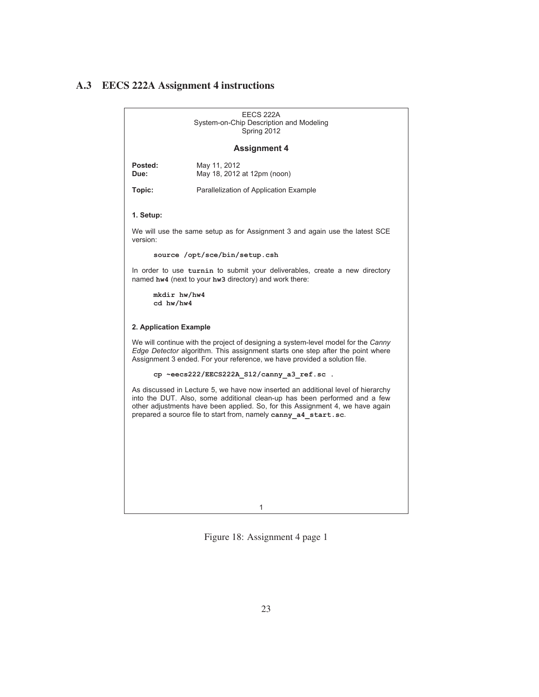### <span id="page-27-0"></span>**A.3 EECS 222A Assignment 4 instructions**

1 EECS 222A System-on-Chip Description and Modeling Spring 2012 **Assignment 4 Posted:** May 11, 2012<br> **Due:** May 18, 2012 **Due:** May 18, 2012 at 12pm (noon) **Topic:** Parallelization of Application Example **1. Setup:**  We will use the same setup as for Assignment 3 and again use the latest SCE version: **source /opt/sce/bin/setup.csh**  In order to use **turnin** to submit your deliverables, create a new directory named **hw4** (next to your **hw3** directory) and work there: **mkdir hw/hw4 cd hw/hw4 2. Application Example**  We will continue with the project of designing a system-level model for the *Canny Edge Detector* algorithm. This assignment starts one step after the point where Assignment 3 ended. For your reference, we have provided a solution file. **cp ~eecs222/EECS222A\_S12/canny\_a3\_ref.sc .**  As discussed in Lecture 5, we have now inserted an additional level of hierarchy into the DUT. Also, some additional clean-up has been performed and a few other adjustments have been applied. So, for this Assignment 4, we have again prepared a source file to start from, namely **canny\_a4\_start.sc**.

Figure 18: Assignment 4 page 1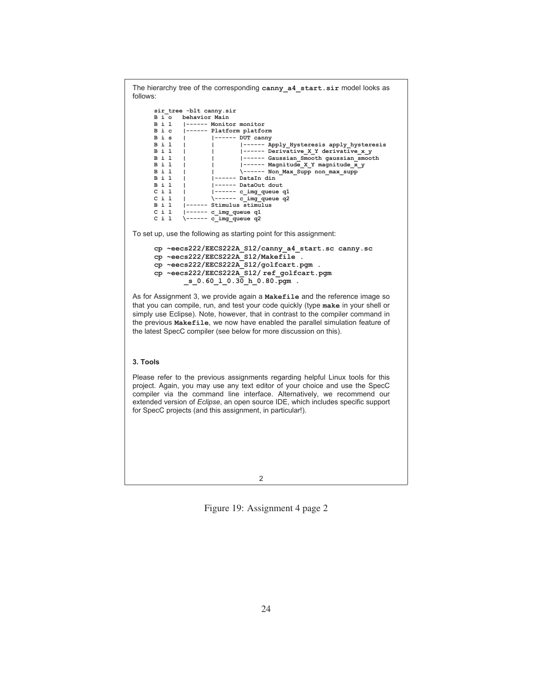The hierarchy tree of the corresponding **canny\_a4\_start.sir** model looks as follows: **sir\_tree -blt canny.sir B i o behavior Main B i l |------ Monitor monitor Bic**  $|$ ------ Platform platform<br>**Bis**  $|$   $|$ ------ DUT canny **B** i s | |------ DUT canny<br>**B** i 1 | | |------ Ar **B** i l | | |------ Apply\_Hysteresis apply\_hysteresis<br> **B** i 1 | | |------ Derivative X Y derivative x y **Bil** | | |------ **Derivative\_X\_Y derivative\_x\_y**<br> **Bil** | | |------ Gaussian Smooth gaussian smoot **B** i l | |----- Gaussian\_Smooth gaussian\_smooth **B** i l | |----- Magnitude **X Y** magnitude **x y B** i l <br> **B** i l <br> **B** i l <br> **B** i l <br> **B** i l <br> **B** i l <br> **B** i l <br> **B** i l <br> **B** i l <br> **B** i l <br> **E** <br> **E** <br> **E** <br> **E** <br> **E** <br> **E** <br> **E** <br> **E** <br> **E** <br> **E** <br> **E** <br> **E** <br> **E** <br> **E** <br> **E** <br> **E** <br> **E** <br> **E** <br> **E** <br> **E** <br> **B i l | | \------ Non\_Max\_Supp non\_max\_supp B i l | |------ DataIn din B i l | |------ DataOut dout C i l | |------ c\_img\_queue q1**   $C$  i l  $|$  \------  $c$ \_img\_queue q2<br>  $B$  i l  $|$ ------ Stimulus stimulus **Bil**  $|$ ------ Stimulus stimulus<br>Cil  $|$ ------ c img queue q1 C i 1 |------ c\_img\_queue q1<br>C i 1 \------ c\_img\_queue q2 \------ c\_img\_queue q2 To set up, use the following as starting point for this assignment: **cp ~eecs222/EECS222A\_S12/canny\_a4\_start.sc canny.sc cp ~eecs222/EECS222A\_S12/Makefile . cp ~eecs222/EECS222A\_S12/golfcart.pgm . cp ~eecs222/EECS222A\_S12/ ref\_golfcart.pgm \_s\_0.60\_l\_0.30\_h\_0.80.pgm .**  As for Assignment 3, we provide again a **Makefile** and the reference image so that you can compile, run, and test your code quickly (type **make** in your shell or simply use Eclipse). Note, however, that in contrast to the compiler command in the previous **Makefile**, we now have enabled the parallel simulation feature of the latest SpecC compiler (see below for more discussion on this). **3. Tools**  Please refer to the previous assignments regarding helpful Linux tools for this project. Again, you may use any text editor of your choice and use the SpecC compiler via the command line interface. Alternatively, we recommend our extended version of *Eclipse*, an open source IDE, which includes specific support for SpecC projects (and this assignment, in particular!).

2

Figure 19: Assignment 4 page 2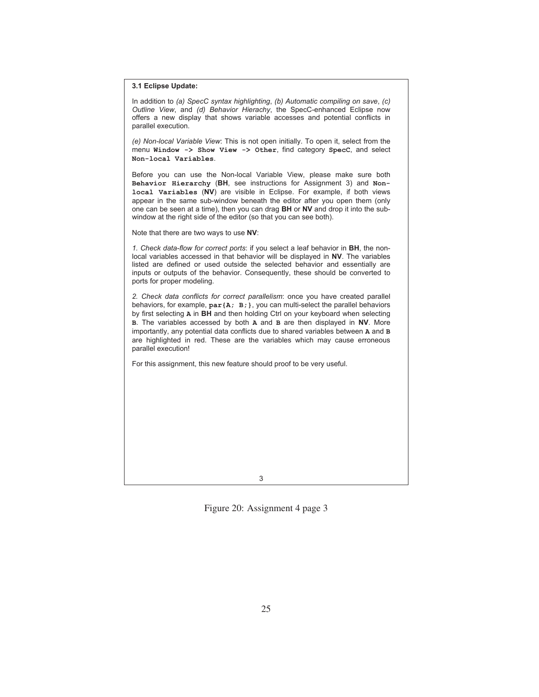**3.1 Eclipse Update:** 

In addition to *(a) SpecC syntax highlighting*, *(b) Automatic compiling on save*, *(c) Outline View*, and *(d) Behavior Hierachy*, the SpecC-enhanced Eclipse now offers a new display that shows variable accesses and potential conflicts in parallel execution.

*(e) Non-local Variable View*: This is not open initially. To open it, select from the menu **Window -> Show View -> Other**, find category **SpecC**, and select **Non-local Variables**.

Before you can use the Non-local Variable View, please make sure both **Behavior Hierarchy** (**BH**, see instructions for Assignment 3) and **Nonlocal Variables** (**NV**) are visible in Eclipse. For example, if both views appear in the same sub-window beneath the editor after you open them (only one can be seen at a time), then you can drag **BH** or **NV** and drop it into the subwindow at the right side of the editor (so that you can see both).

Note that there are two ways to use **NV**:

*1. Check data-flow for correct ports*: if you select a leaf behavior in **BH**, the nonlocal variables accessed in that behavior will be displayed in **NV**. The variables listed are defined or used outside the selected behavior and essentially are inputs or outputs of the behavior. Consequently, these should be converted to ports for proper modeling.

*2. Check data conflicts for correct parallelism*: once you have created parallel behaviors, for example, **par{A; B;}**, you can multi-select the parallel behaviors by first selecting **A** in **BH** and then holding Ctrl on your keyboard when selecting **B**. The variables accessed by both **A** and **B** are then displayed in **NV**. More importantly, any potential data conflicts due to shared variables between **A** and **B** are highlighted in red. These are the variables which may cause erroneous parallel execution!

For this assignment, this new feature should proof to be very useful.

3

Figure 20: Assignment 4 page 3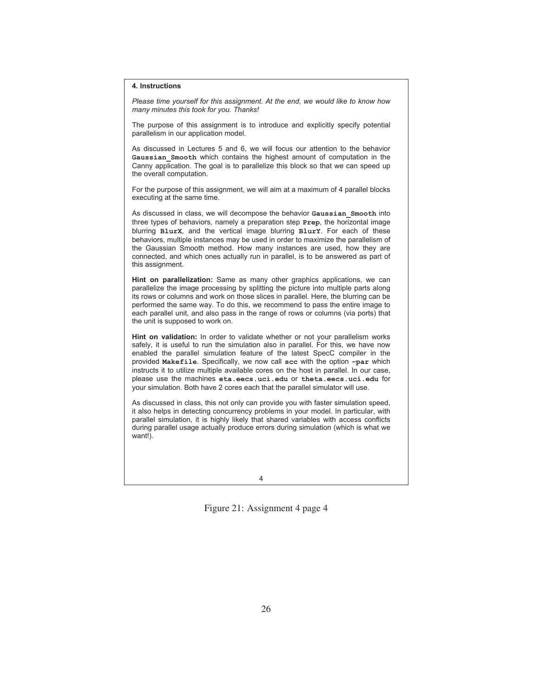#### **4. Instructions**

*Please time yourself for this assignment. At the end, we would like to know how many minutes this took for you. Thanks!* 

The purpose of this assignment is to introduce and explicitly specify potential parallelism in our application model.

As discussed in Lectures 5 and 6, we will focus our attention to the behavior **Gaussian\_Smooth** which contains the highest amount of computation in the Canny application. The goal is to parallelize this block so that we can speed up the overall computation.

For the purpose of this assignment, we will aim at a maximum of 4 parallel blocks executing at the same time.

As discussed in class, we will decompose the behavior **Gaussian\_Smooth** into three types of behaviors, namely a preparation step **Prep**, the horizontal image blurring **BlurX**, and the vertical image blurring **BlurY**. For each of these behaviors, multiple instances may be used in order to maximize the parallelism of the Gaussian Smooth method. How many instances are used, how they are connected, and which ones actually run in parallel, is to be answered as part of this assignment.

**Hint on parallelization:** Same as many other graphics applications, we can parallelize the image processing by splitting the picture into multiple parts along its rows or columns and work on those slices in parallel. Here, the blurring can be performed the same way. To do this, we recommend to pass the entire image to each parallel unit, and also pass in the range of rows or columns (via ports) that the unit is supposed to work on.

**Hint on validation:** In order to validate whether or not your parallelism works safely, it is useful to run the simulation also in parallel. For this, we have now enabled the parallel simulation feature of the latest SpecC compiler in the provided **Makefile**. Specifically, we now call **scc** with the option **–par** which instructs it to utilize multiple available cores on the host in parallel. In our case, please use the machines **eta.eecs.uci.edu** or **theta.eecs.uci.edu** for your simulation. Both have 2 cores each that the parallel simulator will use.

As discussed in class, this not only can provide you with faster simulation speed, it also helps in detecting concurrency problems in your model. In particular, with parallel simulation, it is highly likely that shared variables with access conflicts during parallel usage actually produce errors during simulation (which is what we want!).

4

Figure 21: Assignment 4 page 4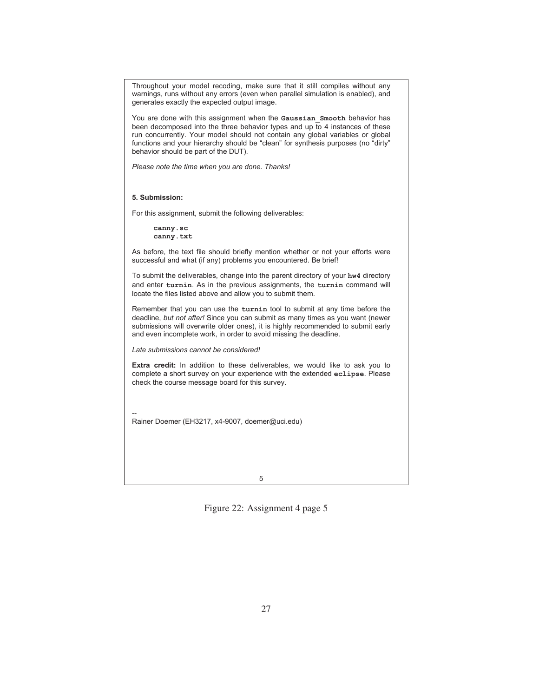Throughout your model recoding, make sure that it still compiles without any warnings, runs without any errors (even when parallel simulation is enabled), and generates exactly the expected output image.

You are done with this assignment when the **Gaussian\_Smooth** behavior has been decomposed into the three behavior types and up to 4 instances of these run concurrently. Your model should not contain any global variables or global functions and your hierarchy should be "clean" for synthesis purposes (no "dirty" behavior should be part of the DUT).

*Please note the time when you are done. Thanks!* 

**5. Submission:** 

For this assignment, submit the following deliverables:

**canny.sc canny.txt**

As before, the text file should briefly mention whether or not your efforts were successful and what (if any) problems you encountered. Be brief!

To submit the deliverables, change into the parent directory of your **hw4** directory and enter **turnin**. As in the previous assignments, the **turnin** command will locate the files listed above and allow you to submit them.

Remember that you can use the **turnin** tool to submit at any time before the deadline, *but not after!* Since you can submit as many times as you want (newer submissions will overwrite older ones), it is highly recommended to submit early and even incomplete work, in order to avoid missing the deadline.

*Late submissions cannot be considered!*

**Extra credit:** In addition to these deliverables, we would like to ask you to complete a short survey on your experience with the extended **eclipse**. Please check the course message board for this survey.

-- Rainer Doemer (EH3217, x4-9007, doemer@uci.edu)

5

Figure 22: Assignment 4 page 5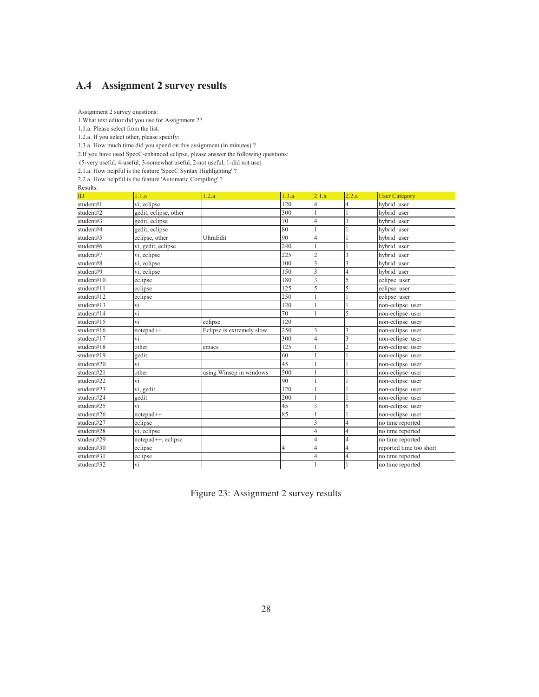# <span id="page-32-0"></span>**A.4 Assignment 2 survey results**

Assignment 2 survey questions:

1.What text editor did you use for Assignment 2?

1.1.a. Please select from the list:

1.2.a. If you select other, please specify:

1.3.a. How much time did you spend on this assignment (in minutes) ?

2.If you have used SpecC-enhanced eclipse, please answer the following questions:

(5-very useful, 4-useful, 3-somewhat useful, 2-not useful, 1-did not use)

2.1.a. How helpful is the feature 'SpecC Syntax Highlighting' ?

2.2.a. How helpful is the feature 'Automatic Compiling' ?

Results:

| resuns.<br>ID | 1.1.a                           | 1.2.a                      | 1.3.a | 2.1.a          | 2.2.a          | <b>User Category</b>    |
|---------------|---------------------------------|----------------------------|-------|----------------|----------------|-------------------------|
| student#1     | vi, eclipse                     |                            | 120   | 4              | 4              | hybrid user             |
| student#2     | gedit, eclipse, other           |                            | 300   |                |                | hybrid user             |
| student#3     | gedit, eclipse                  |                            | 70    | 4              | 3              | hybrid user             |
| student#4     | gedit, eclipse                  |                            | 80    |                |                | hybrid user             |
| student#5     | eclipse, other                  | UltraEdit                  | 90    | 4              |                | hybrid user             |
| student#6     | vi, gedit, eclipse              |                            | 240   |                |                | hybrid user             |
| student#7     | vi, eclipse                     |                            | 225   | $\overline{2}$ | 3              | hybrid user             |
| student#8     | vi, eclipse                     |                            | 100   | 3              | 3              | hybrid user             |
| student#9     | vi, eclipse                     |                            | 150   | 3              | 4              | hybrid user             |
| student#10    | eclipse                         |                            | 180   | 3              | 5              | eclipse user            |
| student#11    | eclipse                         |                            | 125   | 5              | 5              | eclipse user            |
| student#12    | eclipse                         |                            | 250   |                |                | eclipse user            |
| student#13    | vi                              |                            | 120   |                |                | non-eclipse user        |
| student#14    | vi                              |                            | 70    |                | 5              | non-eclipse user        |
| student#15    | vi                              | eclipse                    | 120   |                |                | non-eclipse user        |
| student#16    | notepad++                       | Eclipse is extremely slow. | 250   | 3              | 3              | non-eclipse user        |
| student#17    | vi                              |                            | 300   | 4              | 3              | non-eclipse user        |
| student#18    | other                           | emacs                      | 125   |                | $\overline{c}$ | non-eclipse user        |
| student#19    | gedit                           |                            | 60    |                |                | non-eclipse user        |
| student#20    | vi                              |                            | 45    |                |                | non-eclipse user        |
| student#21    | other                           | using Winsep in windows    | 500   |                |                | non-eclipse user        |
| student#22    | vi                              |                            | 90    |                |                | non-eclipse user        |
| student#23    | vi, gedit                       |                            | 120   |                |                | non-eclipse user        |
| student#24    | gedit                           |                            | 200   |                |                | non-eclipse user        |
| student#25    | vi                              |                            | 45    | 3              | 5              | non-eclipse user        |
| student#26    | notepad++                       |                            | 85    |                |                | non-eclipse user        |
| student#27    | eclipse                         |                            |       | 3              | 4              | no time reported        |
| student#28    | vi, eclipse                     |                            |       | 4              | $\overline{4}$ | no time reported        |
| student#29    | notepad <sup>++</sup> , eclipse |                            |       | 4              | $\overline{4}$ | no time reported        |
| student#30    | eclipse                         |                            | 4     | 4              | 4              | reported time too short |
| student#31    | eclipse                         |                            |       | 4              | $\overline{4}$ | no time reported        |
| student#32    | vi                              |                            |       |                |                | no time reported        |

Figure 23: Assignment 2 survey results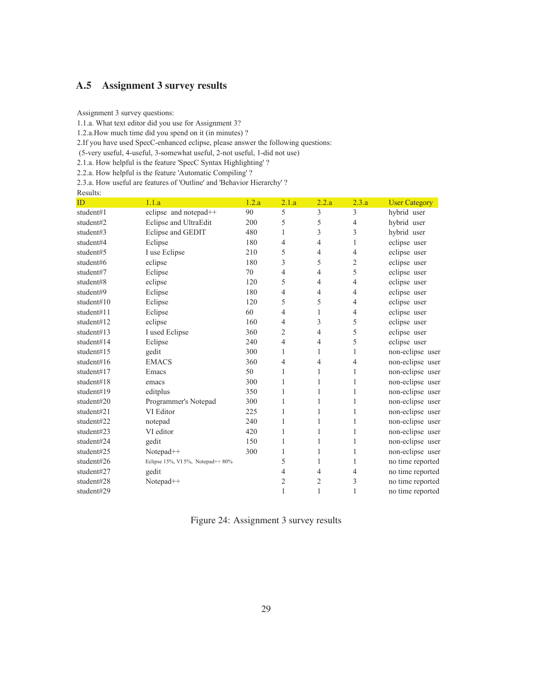# <span id="page-33-0"></span>**A.5 Assignment 3 survey results**

Assignment 3 survey questions:

1.1.a. What text editor did you use for Assignment 3?

1.2.a.How much time did you spend on it (in minutes) ?

2.If you have used SpecC-enhanced eclipse, please answer the following questions:

(5-very useful, 4-useful, 3-somewhat useful, 2-not useful, 1-did not use)

2.1.a. How helpful is the feature 'SpecC Syntax Highlighting' ?

2.2.a. How helpful is the feature 'Automatic Compiling' ?

2.3.a. How useful are features of 'Outline' and 'Behavior Hierarchy' ?

| ID         | 1.1.a                             | 1.2.a | 2.1.a | 2.2.a | 2.3.a | <b>User Category</b> |
|------------|-----------------------------------|-------|-------|-------|-------|----------------------|
| student#1  | eclipse and notepad++             | 90    | 5     | 3     | 3     | hybrid user          |
| student#2  | Eclipse and UltraEdit             | 200   | 5     | 5     | 4     | hybrid user          |
| student#3  | Eclipse and GEDIT                 | 480   | 1     | 3     | 3     | hybrid user          |
| student#4  | Eclipse                           | 180   | 4     | 4     | 1     | eclipse user         |
| student#5  | I use Eclipse                     | 210   | 5     | 4     | 4     | eclipse user         |
| student#6  | eclipse                           | 180   | 3     | 5     | 2     | eclipse user         |
| student#7  | Eclipse                           | 70    | 4     | 4     | 5     | eclipse user         |
| student#8  | eclipse                           | 120   | 5     | 4     | 4     | eclipse user         |
| student#9  | Eclipse                           | 180   | 4     | 4     | 4     | eclipse user         |
| student#10 | Eclipse                           | 120   | 5     | 5     | 4     | eclipse user         |
| student#11 | Eclipse                           | 60    | 4     | 1     | 4     | eclipse user         |
| student#12 | eclipse                           | 160   | 4     | 3     | 5     | eclipse user         |
| student#13 | I used Eclipse                    | 360   | 2     | 4     | 5     | eclipse user         |
| student#14 | Eclipse                           | 240   | 4     | 4     | 5     | eclipse user         |
| student#15 | gedit                             | 300   | 1     | 1     | 1     | non-eclipse user     |
| student#16 | <b>EMACS</b>                      | 360   | 4     | 4     | 4     | non-eclipse user     |
| student#17 | Emacs                             | 50    | 1     | 1     | 1     | non-eclipse user     |
| student#18 | emacs                             | 300   | 1     | 1     | 1     | non-eclipse user     |
| student#19 | editplus                          | 350   | 1     | 1     | 1     | non-eclipse user     |
| student#20 | Programmer's Notepad              | 300   | 1     | 1     | 1     | non-eclipse user     |
| student#21 | VI Editor                         | 225   | 1     | 1     | 1     | non-eclipse user     |
| student#22 | notepad                           | 240   | 1     | 1     | 1     | non-eclipse user     |
| student#23 | VI editor                         | 420   | 1     | 1     | 1     | non-eclipse user     |
| student#24 | gedit                             | 150   | 1     | 1     | 1     | non-eclipse user     |
| student#25 | Notepad++                         | 300   | 1     | 1     | 1     | non-eclipse user     |
| student#26 | Eclipse 15%, VI 5%, Notepad++ 80% |       | 5     | 1     | 1     | no time reported     |
| student#27 | gedit                             |       | 4     | 4     | 4     | no time reported     |
| student#28 | Notepad++                         |       | 2     | 2     | 3     | no time reported     |
| student#29 |                                   |       | 1     | 1     | 1     | no time reported     |

Figure 24: Assignment 3 survey results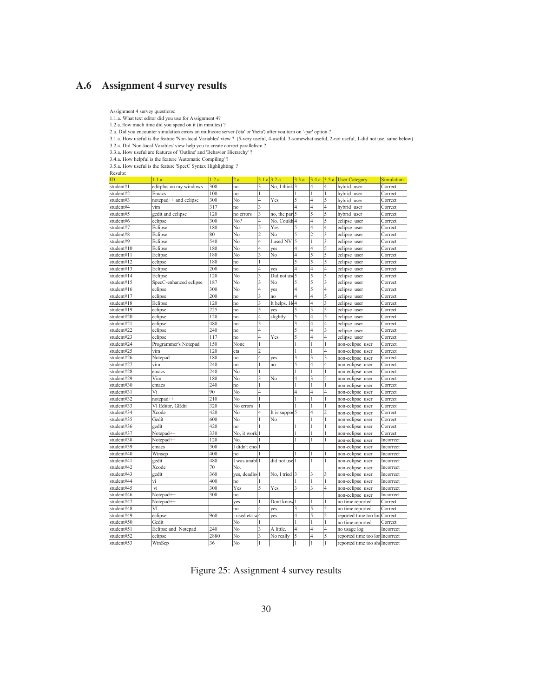# <span id="page-34-0"></span>**A.6 Assignment 4 survey results**

Assignment 4 survey questions:

1.1.a. What text editor did you use for Assignment 4?

1.2.a.How much time did you spend on it (in minutes) ?

2.a. Did you encounter simulation errors on multicore server ('eta' or 'theta') after you turn on '-par' option ?

3.1.a. How useful is the feature 'Non-local Variables' view ? (5-very useful, 4-useful, 3-somewhat useful, 2-not useful, 1-did not use, same below)<br>3.2.a. Did 'Non-local Varables' view help you to create correct parallelis

3.4.a. How helpful is the feature 'Automatic Compiling' ? 3.5.a. How useful is the feature 'SpecC Syntax Highlighting' ?

Results:

| Results:                 |                                   |       |                    |                |                |                |                |                |                                 |                    |
|--------------------------|-----------------------------------|-------|--------------------|----------------|----------------|----------------|----------------|----------------|---------------------------------|--------------------|
| ID                       | 1.1.a                             | 1.2.a | 2.a                |                | 3.1.a 3.2.a    | 3.3.a          | 3.4.a          |                | 3.5.a User Category             | <b>Simulation</b>  |
| student#1                | editplus on my windows            | 300   | no                 | 3              | No, I think    | 3              | 4              |                | hybrid user                     | Correct            |
| student#2                | Emacs                             | 100   | no                 |                |                |                | 1              |                | hybrid user                     | Correct            |
| student#3                | notepad <sup>++</sup> and eclipse | 300   | No                 | 4              | Yes            | 5              | 4              | 5              | hybrid user                     | Correct            |
| student#4                | vim                               | 317   | no                 | 3              |                | 4              | 4              | 4              | hybrid user                     | Correct            |
| student#5                | gedit and eclipse                 | 120   | no errors          | 3              | no, the pan    | 5              | 5              | 5              | hybrid user                     | Correct            |
| student#6                | eclipse                           | 300   | No?                | 4              | No. Couldi     | $\overline{4}$ | $\overline{4}$ | 5              | eclipse user                    | Correct            |
| student#7                | Eclipse                           | 180   | No                 | 5              | Yes            | 5              | 4              | 4              | eclipse user                    | Correct            |
| student#8                | Eclipse                           | 80    | No                 | $\overline{c}$ | No             |                | $\mathfrak{D}$ | 3              | eclipse user                    | Correct            |
| student#9                | Eclipse                           | 540   | No                 | 4              | I used NV      | 5              | 1              | 3              | eclipse user                    | Correct            |
| student#10               | Eclipse                           | 180   | No                 | 4              | ves            | 4              | $\overline{4}$ | 5              | eclipse user                    | Correct            |
| student#11               | Eclipse                           | 180   | No                 | 3              | No             | 4              | 5              | 5              | eclipse user                    | Correct            |
| student#12               | eclipse                           | 180   | no                 |                |                | 5              | 5              | 5              | eclipse user                    | Correct            |
| student#13               | Eclipse                           | 200   | no                 | 4              | yes            | $\overline{4}$ | $\overline{4}$ | 4              | eclipse user                    | Correct            |
| student#14               | Eclipse                           | 120   | No                 | 3              | Did not us     | 5              | 5              | 5              | eclipse user                    | Correct            |
| student#15               | SpecC-enhanced eclipse            | 187   | No                 | 3              | No             | 5              | 5              | 3              | eclipse user                    | Correct            |
| student#16               | eclipse                           | 300   | No                 | 4              | yes            | 4              | 5              | 4              | eclipse user                    | Correct            |
| student#17               | eclipse                           | 200   | no                 | 3              | no             | 4              | $\overline{4}$ | 5              | eclipse user                    | Correct            |
| student#18               | Eclipse                           | 120   | no                 | 3              | It helps. Ho   | 4              | 4              | 3              | eclipse user                    | Correct            |
| student#19               | eclipse                           | 225   | no                 | 5              | yes            | 5              | 3              |                | eclipse user                    | Correct            |
| student#20               | eclipse                           | 120   | no                 | 4              | slightly       | 5              | 4              | ٢              | eclipse user                    | Correct            |
| student#21               | eclipse                           | 480   | no                 | 3              |                | 3              | $\overline{4}$ | 4              | eclipse user                    | Correct            |
| student#22               | eclipse                           | 240   | no                 | 4              |                | 5              | $\overline{4}$ | 3              | eclipse user                    | Correct            |
| student#23               | eclipse                           | 117   | no                 | 4              | Yes            | 5              | 4              | 4              | eclipse user                    | Correct            |
| student#24               | Programmer's Notepad              | 150   | None               |                |                |                |                |                | non-eclipse user                | Correct            |
| student#25               | vim                               | 120   | eta                | $\overline{c}$ |                |                | 1              | 4              | non-eclipse user                | Correct            |
| student#26               | Notepad                           | 180   | no                 | 4              | ves            | 3              | 3              | 3              | non-eclipse user                | Correct            |
| student#27               | vim                               | 240   | no                 |                | no             | 5              | $\overline{4}$ | $\overline{4}$ | non-eclipse user                | Correct            |
| student#28               | emacs                             | 240   | No                 | 1              |                | 1              | 1              |                | non-eclipse user                | Correct            |
| student#29               | Vim                               | 180   | No                 | 3              | No             | 4              | 3              | 5              | non-eclipse user                | Correct            |
| student#30               | emacs                             | 240   | no                 |                |                |                |                |                | non-eclipse user                | Correct            |
| student#31               | Vi                                | 90    | No                 | 4              |                | 4              | 4              |                | non-eclipse user                | Correct            |
| student#32               | notepad <sup>++</sup>             | 210   | No                 |                |                | 1              | 1              |                | non-eclipse user                | Correct            |
| student#33               | VI Editor, GEdit                  | 320   | No errors          |                |                |                |                |                | non-eclipse user                | Correct            |
| student#34               | Xcode                             | 420   | No                 | 4              | It is suppos 5 |                | 4              | 2              | non-eclipse user                | Correct            |
| student#35               | Gedit                             | 600   | No                 |                | No             |                |                |                | non-eclipse user                | Correct            |
| student#36               | gedit                             | 420   | no                 |                |                |                | 1              |                | non-eclipse user                | Correct            |
| student#37               | Notepad <sup>++</sup>             | 330   | No, it work        |                |                |                |                |                | non-eclipse user                | Correct            |
| student#38               | Notepad <sup>++</sup>             | 120   | No                 |                |                |                |                |                | non-eclipse user                | Incorrect          |
| student#39               | emacs                             | 300   | I didn't enc       |                |                |                |                |                | non-eclipse user                | Incorrect          |
| student#40               | Winsep                            | 400   | no                 |                |                |                | 1              |                | non-eclipse user                | Incorrect          |
| student#41               | gedit                             | 480   | I was unabl        |                | did not use    |                |                |                | non-eclipse user                | Incorrect          |
| student#42               | Xcode                             | 70    | No.                |                |                |                |                |                | non-eclipse user                | Incorrect          |
| student#43               | gedit                             | 360   | ves, deadlo        |                | No, I tried    | 3              | 3              | 3              | non-eclipse user                | Incorrect          |
| student#44               | vi                                | 400   | no                 |                |                |                | 1              |                | non-eclipse user                | Incorrect          |
| student#45               | vi                                | 300   | Yes                | 5              | Yes            | 3              | 3              | 4              | non-eclipse user                | Incorrect          |
| student#46               | Notepad <sup>++</sup>             | 300   | no                 |                |                |                |                |                | non-eclipse user                | Incorrect          |
| student#47               | Notepad <sup>++</sup>             |       | yes                |                | Dont know      |                | 1              |                | no time reported                | Correct            |
|                          | VI                                |       |                    | 4              |                | 3              | 5              | 5              |                                 |                    |
| student#48<br>student#49 |                                   | 960   | no<br>i used eta v | 4              | ves<br>yes     | 4              | 5              | $\overline{c}$ | no time reported                | Correct<br>Correct |
|                          | eclipse<br>Gedit                  |       | No                 |                |                |                | 1              |                | reported time too lor           |                    |
| student#50<br>student#51 |                                   | 240   | No                 | 3              |                | $\overline{4}$ | $\overline{4}$ | 4              | no time reported                | Correct            |
|                          | Eclipse and Notepad               |       |                    |                | A little.      |                |                |                | no usage log                    | Incorrect          |
| student#52               | eclipse                           | 2880  | No                 | 3              | No really      | 5              | 4              | 5              | reported time too lor Incorrect |                    |
| student#53               | WinScp                            | 36    | No                 | 1              |                | 1              | 1              | $\vert$ 1      | reported time too she Incorrect |                    |

Figure 25: Assignment 4 survey results